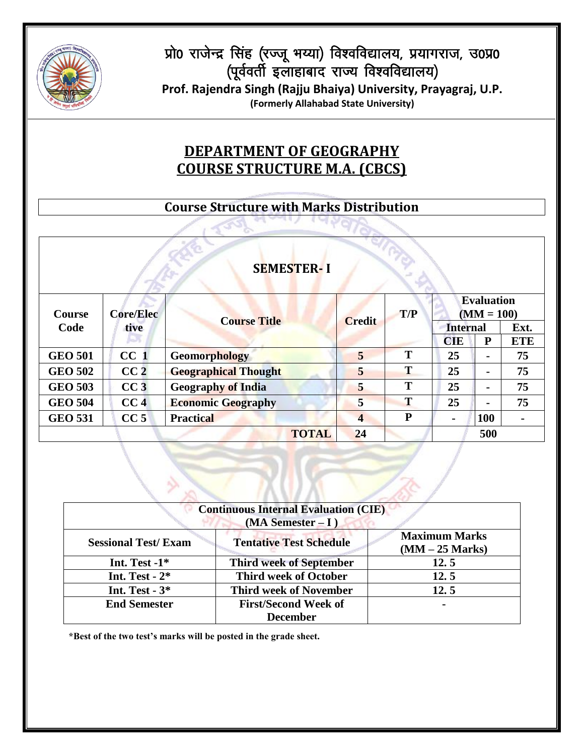

प्रो0 राजेन्द्र सिंह (रज्जू भय्या) विश्वविद्यालय, प्रयागराज, उ0प्र0 (पूर्ववर्ती इलाहाबाद राज्य विश्वविद्यालय)

**Prof. Rajendra Singh (Rajju Bhaiya) University, Prayagraj, U.P. (Formerly Allahabad State University)**

# **DEPARTMENT OF GEOGRAPHY COURSE STRUCTURE M.A. (CBCS)**

### **Course Structure with Marks Distribution**

|                |                  | <b>SEMESTER-I</b>           |                         |     |                 |                                   |                |
|----------------|------------------|-----------------------------|-------------------------|-----|-----------------|-----------------------------------|----------------|
| <b>Course</b>  | <b>Core/Elec</b> | <b>Course Title</b>         | <b>Credit</b>           | T/P |                 | <b>Evaluation</b><br>$(MM = 100)$ |                |
| Code           | tive             |                             |                         |     | <b>Internal</b> |                                   | Ext.           |
|                | ы                |                             |                         |     | <b>CIE</b>      | $\bf{P}$                          | <b>ETE</b>     |
| <b>GEO 501</b> | CC <sub>1</sub>  | <b>Geomorphology</b>        | 5                       | T   | 25              | $\blacksquare$                    | 75             |
| <b>GEO 502</b> | CC <sub>2</sub>  | <b>Geographical Thought</b> | 5                       | T   | 25              | $\blacksquare$                    | 75             |
| <b>GEO 503</b> | CC3              | <b>Geography of India</b>   | 5                       | T   | 25              | $\blacksquare$                    | 75             |
| <b>GEO 504</b> | CC <sub>4</sub>  | <b>Economic Geography</b>   | 5                       | T   | 25              | $\blacksquare$                    | 75             |
| <b>GEO 531</b> | CC <sub>5</sub>  | <b>Practical</b>            | $\overline{\mathbf{4}}$ | P   | $\blacksquare$  | 100                               | $\blacksquare$ |
|                |                  |                             | <b>TOTAL</b><br>24      |     |                 | 500                               |                |

|                            | <b>Continuous Internal Evaluation (CIE)</b> |                      |
|----------------------------|---------------------------------------------|----------------------|
|                            | $(MA$ Semester – I)                         |                      |
| <b>Sessional Test/Exam</b> |                                             | <b>Maximum Marks</b> |
|                            | <b>Tentative Test Schedule</b>              | $(MM - 25 Marks)$    |
| Int. Test $-1$ *           | <b>Third week of September</b>              | 12.5                 |
| Int. Test - $2*$           | <b>Third week of October</b>                | 12.5                 |
| Int. Test - $3*$           | <b>Third week of November</b>               | 12.5                 |
| <b>End Semester</b>        | <b>First/Second Week of</b>                 | $\blacksquare$       |
|                            | <b>December</b>                             |                      |

 $\leftarrow$ 

**\*Best of the two test's marks will be posted in the grade sheet.**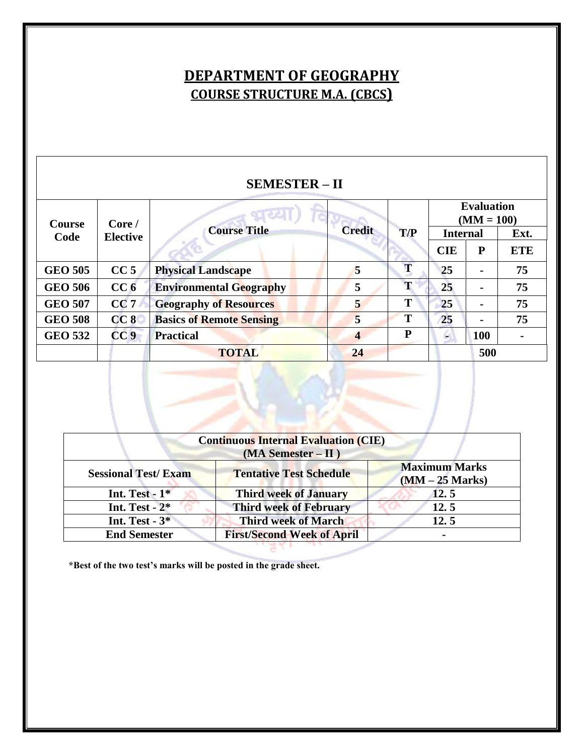# **DEPARTMENT OF GEOGRAPHY COURSE STRUCTURE M.A. (CBCS)**

| <b>SEMESTER - II</b>    |                           |                                 |                         |     |                                   |                |            |
|-------------------------|---------------------------|---------------------------------|-------------------------|-----|-----------------------------------|----------------|------------|
| <b>Course</b>           | Core/                     |                                 |                         |     | <b>Evaluation</b><br>$(MM = 100)$ |                |            |
| Code<br><b>Elective</b> |                           | <b>Course Title</b>             | <b>Credit</b>           | T/P | <b>Internal</b>                   |                | Ext.       |
|                         |                           |                                 |                         |     | <b>CIE</b>                        | P              | <b>ETE</b> |
| <b>GEO 505</b>          | CC <sub>5</sub>           | <b>Physical Landscape</b>       | 5                       | T   | 25                                | $\blacksquare$ | 75         |
| <b>GEO 506</b>          | CC <sub>6</sub>           | <b>Environmental Geography</b>  | 5                       | T   | 25                                | -              | 75         |
| <b>GEO 507</b>          | CC <sub>7</sub>           | <b>Geography of Resources</b>   | 5                       | T   | 25                                | -              | 75         |
| <b>GEO 508</b>          | CC8                       | <b>Basics of Remote Sensing</b> | $\overline{\mathbf{5}}$ | T   | 25                                | $\blacksquare$ | 75         |
| <b>GEO 532</b>          | CC <sub>9</sub>           | <b>Practical</b>                | $\overline{\mathbf{4}}$ | P   | 100<br>G.                         |                |            |
|                         | 24<br>500<br><b>TOTAL</b> |                                 |                         |     |                                   |                |            |

|                            | <b>Continuous Internal Evaluation (CIE)</b><br>$(MA$ Semester – II) |                                           |
|----------------------------|---------------------------------------------------------------------|-------------------------------------------|
| <b>Sessional Test/Exam</b> | <b>Tentative Test Schedule</b>                                      | <b>Maximum Marks</b><br>$(MM - 25$ Marks) |
| Int. Test - $1*$           | <b>Third week of January</b>                                        | 12.5                                      |
| Int. Test - $2*$           | <b>Third week of February</b>                                       | 12.5                                      |
| Int. Test $-3*$            | <b>Third week of March</b>                                          | 12.5                                      |
| <b>End Semester</b>        | <b>First/Second Week of April</b>                                   | $\blacksquare$                            |

**\*Best of the two test's marks will be posted in the grade sheet.**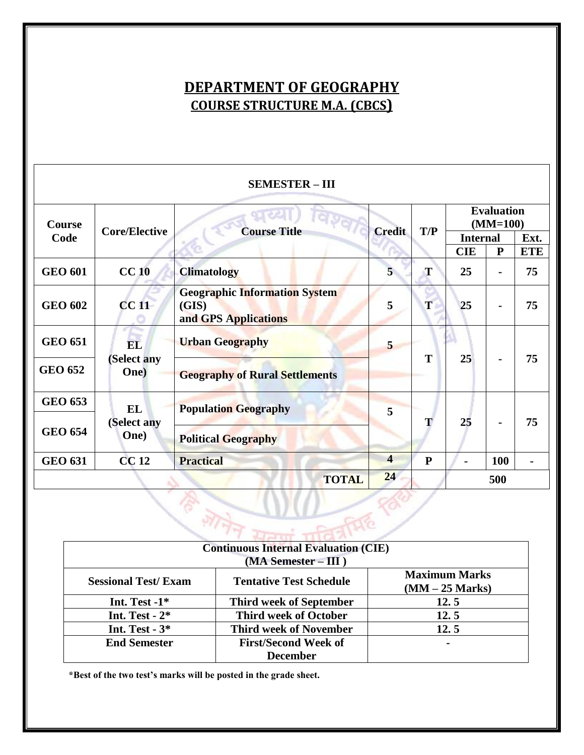# **DEPARTMENT OF GEOGRAPHY COURSE STRUCTURE M.A. (CBCS)**

| <b>SEMESTER - III</b> |                      |                                                                       |                         |              |                                 |                |                    |
|-----------------------|----------------------|-----------------------------------------------------------------------|-------------------------|--------------|---------------------------------|----------------|--------------------|
| Course                | <b>Core/Elective</b> | 行使之门<br><b>Course Title</b>                                           | <b>Credit</b>           | T/P          | <b>Evaluation</b><br>$(MM=100)$ |                |                    |
| Code                  |                      |                                                                       |                         |              | <b>Internal</b><br><b>CIE</b>   | ${\bf P}$      | Ext.<br><b>ETE</b> |
| <b>GEO 601</b>        | CC <sub>10</sub>     | <b>Climatology</b>                                                    | 5                       | T            | 25                              | $\blacksquare$ | 75                 |
| <b>GEO 602</b>        | CC11                 | <b>Geographic Information System</b><br>(GIS)<br>and GPS Applications | 5                       | T            | 25                              | $\blacksquare$ | 75                 |
| <b>GEO 651</b>        | <b>EL</b>            | <b>Urban Geography</b>                                                | 5                       |              |                                 |                |                    |
| <b>GEO 652</b>        | (Select any<br>One)  | <b>Geography of Rural Settlements</b>                                 |                         | T            | 25                              | $\blacksquare$ | 75                 |
| <b>GEO 653</b>        | <b>EL</b>            | <b>Population Geography</b>                                           | 5                       |              | 25                              |                |                    |
| <b>GEO 654</b>        | (Select any<br>One)  | <b>Political Geography</b>                                            |                         | Т            |                                 |                | 75                 |
| <b>GEO 631</b>        | <b>CC12</b>          | <b>Practical</b>                                                      | $\overline{\mathbf{4}}$ | $\mathbf{P}$ |                                 | <b>100</b>     |                    |
|                       |                      | <b>TOTAL</b>                                                          | 24                      |              |                                 | 500            |                    |

| <b>Continuous Internal Evaluation (CIE)</b> |                                |                      |  |  |  |
|---------------------------------------------|--------------------------------|----------------------|--|--|--|
| $(MA$ Semester – III)                       |                                |                      |  |  |  |
| <b>Sessional Test/Exam</b>                  | <b>Tentative Test Schedule</b> | <b>Maximum Marks</b> |  |  |  |
|                                             |                                | $(MM - 25$ Marks)    |  |  |  |
| Int. Test $-1$ *                            | <b>Third week of September</b> | 12.5                 |  |  |  |
| Int. Test - $2*$                            | <b>Third week of October</b>   | 12.5                 |  |  |  |
| Int. Test $-3$ *                            | <b>Third week of November</b>  | 12.5                 |  |  |  |
| <b>End Semester</b>                         | <b>First/Second Week of</b>    |                      |  |  |  |
|                                             | <b>December</b>                |                      |  |  |  |

**\*Best of the two test's marks will be posted in the grade sheet.**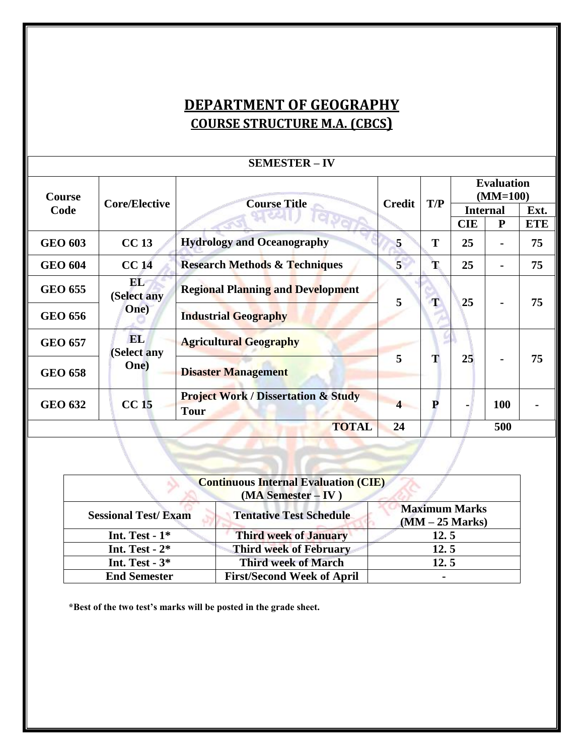# **DEPARTMENT OF GEOGRAPHY COURSE STRUCTURE M.A. (CBCS)**

|                | <u>DLINILD I LIN</u>     |                                                               |                |     |                                 |                |            |
|----------------|--------------------------|---------------------------------------------------------------|----------------|-----|---------------------------------|----------------|------------|
| <b>Course</b>  | <b>Core/Elective</b>     | <b>Course Title</b>                                           | <b>Credit</b>  | T/P | <b>Evaluation</b><br>$(MM=100)$ |                |            |
| Code           |                          |                                                               |                |     | <b>Internal</b>                 |                | Ext.       |
|                |                          |                                                               |                |     | <b>CIE</b>                      | P              | <b>ETE</b> |
| <b>GEO 603</b> | <b>CC13</b>              | <b>Hydrology and Oceanography</b>                             | 5              | T   | 25                              | $\blacksquare$ | 75         |
| <b>GEO 604</b> | <b>CC14</b>              | <b>Research Methods &amp; Techniques</b>                      | $\overline{5}$ | T   | 25                              |                | 75         |
| <b>GEO 655</b> | EL<br>(Select any        | <b>Regional Planning and Development</b>                      | 5              | T   | 25                              |                | 75         |
| <b>GEO 656</b> | One)                     | <b>Industrial Geography</b>                                   |                |     |                                 |                |            |
| <b>GEO 657</b> | <b>EL</b><br>(Select any | <b>Agricultural Geography</b>                                 |                |     | 25                              |                | 75         |
| <b>GEO 658</b> | One)                     | <b>Disaster Management</b>                                    | 5              | T   |                                 |                |            |
| <b>GEO 632</b> | CC <sub>15</sub>         | <b>Project Work / Dissertation &amp; Study</b><br><b>Tour</b> |                | P   |                                 | <b>100</b>     |            |
|                |                          | <b>TOTAL</b>                                                  | 24             |     |                                 | 500            |            |

| <b>Continuous Internal Evaluation (CIE)</b><br>(MA Semester - IV) |                                   |                                           |  |  |
|-------------------------------------------------------------------|-----------------------------------|-------------------------------------------|--|--|
| <b>Sessional Test/Exam</b>                                        | <b>Tentative Test Schedule</b>    | <b>Maximum Marks</b><br>$(MM - 25 Marks)$ |  |  |
| Int. Test - $1*$                                                  | <b>Third week of January</b>      | 12.5                                      |  |  |
| Int. Test - $2*$                                                  | <b>Third week of February</b>     | 12.5                                      |  |  |
| Int. Test $-3$ *                                                  | <b>Third week of March</b>        | 12.5                                      |  |  |
| <b>End Semester</b>                                               | <b>First/Second Week of April</b> | $\blacksquare$                            |  |  |

**\*Best of the two test's marks will be posted in the grade sheet.**

#### **SEMESTER – IV**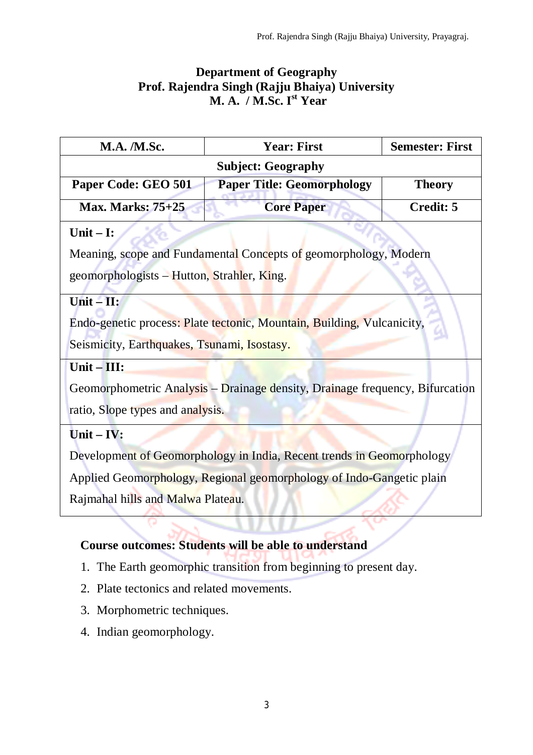# **Department of Geography Prof. Rajendra Singh (Rajju Bhaiya) University M. A. / M.Sc. I st Year**

| <b>M.A. /M.Sc.</b>                                                    | <b>Year: First</b>                                                           | <b>Semester: First</b> |  |  |  |
|-----------------------------------------------------------------------|------------------------------------------------------------------------------|------------------------|--|--|--|
|                                                                       | <b>Subject: Geography</b>                                                    |                        |  |  |  |
| Paper Code: GEO 501                                                   | <b>Paper Title: Geomorphology</b>                                            | <b>Theory</b>          |  |  |  |
| <b>Max. Marks: 75+25</b>                                              | <b>Core Paper</b>                                                            | Credit: 5              |  |  |  |
| Unit $-$ I:                                                           |                                                                              |                        |  |  |  |
|                                                                       | Meaning, scope and Fundamental Concepts of geomorphology, Modern             |                        |  |  |  |
| geomorphologists – Hutton, Strahler, King.                            |                                                                              |                        |  |  |  |
| Unit $ \mathbf{H}$ :                                                  |                                                                              |                        |  |  |  |
|                                                                       | Endo-genetic process: Plate tectonic, Mountain, Building, Vulcanicity,       |                        |  |  |  |
| Seismicity, Earthquakes, Tsunami, Isostasy.                           |                                                                              |                        |  |  |  |
| Unit-III:                                                             |                                                                              |                        |  |  |  |
|                                                                       | Geomorphometric Analysis – Drainage density, Drainage frequency, Bifurcation |                        |  |  |  |
| ratio, Slope types and analysis.                                      |                                                                              |                        |  |  |  |
| Unit $-$ IV:                                                          |                                                                              |                        |  |  |  |
| Development of Geomorphology in India, Recent trends in Geomorphology |                                                                              |                        |  |  |  |
| Applied Geomorphology, Regional geomorphology of Indo-Gangetic plain  |                                                                              |                        |  |  |  |
| Rajmahal hills and Malwa Plateau.                                     |                                                                              |                        |  |  |  |
|                                                                       |                                                                              |                        |  |  |  |

# **Course outcomes: Students will be able to understand**

- 1. The Earth geomorphic transition from beginning to present day.
- 2. Plate tectonics and related movements.
- 3. Morphometric techniques.
- 4. Indian geomorphology.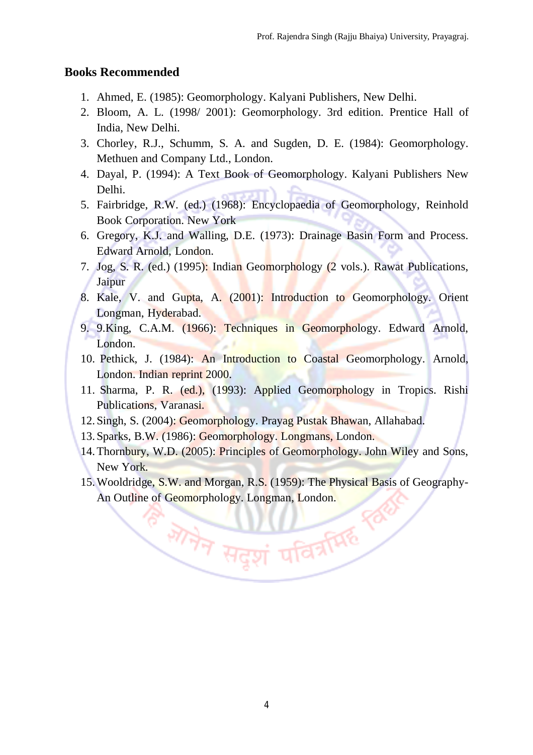#### **Books Recommended**

- 1. Ahmed, E. (1985): Geomorphology. Kalyani Publishers, New Delhi.
- 2. Bloom, A. L. (1998/ 2001): Geomorphology. 3rd edition. Prentice Hall of India, New Delhi.
- 3. Chorley, R.J., Schumm, S. A. and Sugden, D. E. (1984): Geomorphology. Methuen and Company Ltd., London.
- 4. Dayal, P. (1994): A Text Book of Geomorphology. Kalyani Publishers New Delhi.
- 5. Fairbridge, R.W. (ed.) (1968): Encyclopaedia of Geomorphology, Reinhold Book Corporation. New York
- 6. Gregory, K.J. and Walling, D.E. (1973): Drainage Basin Form and Process. Edward Arnold, London.
- 7. Jog, S. R. (ed.) (1995): Indian Geomorphology (2 vols.). Rawat Publications, Jaipur
- 8. Kale, V. and Gupta, A. (2001): Introduction to Geomorphology. Orient Longman, Hyderabad.
- 9. 9.King, C.A.M. (1966): Techniques in Geomorphology. Edward Arnold, London.
- 10. Pethick, J. (1984): An Introduction to Coastal Geomorphology. Arnold, London. Indian reprint 2000.
- 11. Sharma, P. R. (ed.), (1993): Applied Geomorphology in Tropics. Rishi Publications, Varanasi.
- 12. Singh, S. (2004): Geomorphology. Prayag Pustak Bhawan, Allahabad.
- 13. Sparks, B.W. (1986): Geomorphology. Longmans, London.
- 14.Thornbury, W.D. (2005): Principles of Geomorphology. John Wiley and Sons, New York.
- 15.Wooldridge, S.W. and Morgan, R.S. (1959): The Physical Basis of Geography-An Outline of Geomorphology. Longman, London.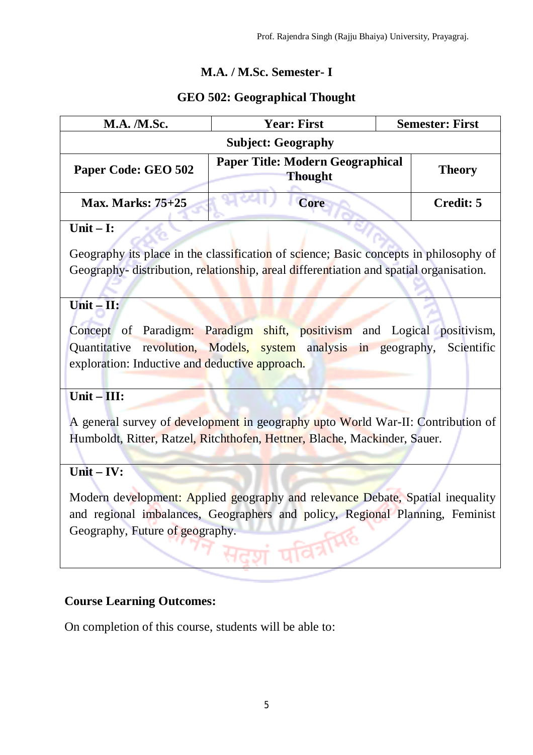# **M.A. / M.Sc. Semester- I**

# **GEO 502: Geographical Thought**

| <b>M.A. /M.Sc.</b>                             | <b>Year: First</b>                                                                                                                                             | <b>Semester: First</b> |
|------------------------------------------------|----------------------------------------------------------------------------------------------------------------------------------------------------------------|------------------------|
|                                                | <b>Subject: Geography</b>                                                                                                                                      |                        |
| Paper Code: GEO 502                            | <b>Paper Title: Modern Geographical</b><br><b>Thought</b>                                                                                                      | <b>Theory</b>          |
| <b>Max. Marks: 75+25</b>                       | <b>Core</b>                                                                                                                                                    | <b>Credit: 5</b>       |
| Unit $-$ I:                                    |                                                                                                                                                                |                        |
|                                                | Geography its place in the classification of science; Basic concepts in philosophy of                                                                          |                        |
|                                                | Geography- distribution, relationship, areal differentiation and spatial organisation.                                                                         |                        |
| $Unit - II:$                                   |                                                                                                                                                                |                        |
| exploration: Inductive and deductive approach. | Concept of Paradigm: Paradigm shift, positivism and Logical positivism,<br>Quantitative revolution, Models, system analysis in geography,                      | Scientific             |
| Unit $-III$ :                                  |                                                                                                                                                                |                        |
|                                                | A general survey of development in geography upto World War-II: Contribution of<br>Humboldt, Ritter, Ratzel, Ritchthofen, Hettner, Blache, Mackinder, Sauer.   |                        |
| $Unit - IV:$                                   |                                                                                                                                                                |                        |
| Geography, Future of geography.                | Modern development: Applied geography and relevance Debate, Spatial inequality<br>and regional imbalances, Geographers and policy, Regional Planning, Feminist |                        |

# **Course Learning Outcomes:**

On completion of this course, students will be able to: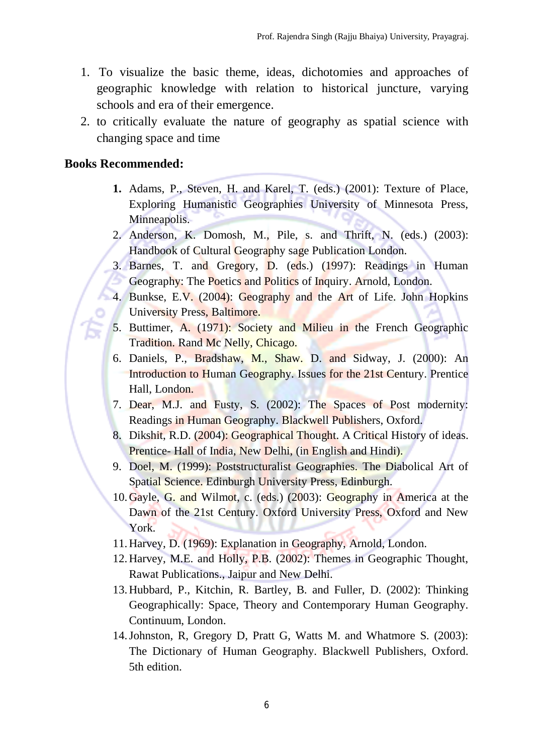- 1. To visualize the basic theme, ideas, dichotomies and approaches of geographic knowledge with relation to historical juncture, varying schools and era of their emergence.
- 2. to critically evaluate the nature of geography as spatial science with changing space and time

#### **Books Recommended:**

- **1.** Adams, P., Steven, H. and Karel, T. (eds.) (2001): Texture of Place, Exploring Humanistic Geographies University of Minnesota Press, Minneapolis.
- 2. Anderson, K. Domosh, M., Pile, s. and Thrift, N. (eds.) (2003): Handbook of Cultural Geography sage Publication London.
- 3. Barnes, T. and Gregory, D. (eds.) (1997): Readings in Human Geography: The Poetics and Politics of Inquiry. Arnold, London.
- 4. Bunkse, E.V. (2004): Geography and the Art of Life. John Hopkins University Press, Baltimore.
- 5. Buttimer, A. (1971): Society and Milieu in the French Geographic Tradition. Rand Mc Nelly, Chicago.
- 6. Daniels, P., Bradshaw, M., Shaw. D. and Sidway, J. (2000): An Introduction to Human Geography. Issues for the 21st Century. Prentice Hall, London.
- 7. Dear, M.J. and Fusty, S. (2002): The Spaces of Post modernity: Readings in Human Geography. Blackwell Publishers, Oxford.
- 8. Dikshit, R.D. (2004): Geographical Thought. A Critical History of ideas. Prentice- Hall of India, New Delhi, (in English and Hindi).
- 9. Doel, M. (1999): Poststructuralist Geographies. The Diabolical Art of Spatial Science. Edinburgh University Press, Edinburgh.
- 10.Gayle, G. and Wilmot, c. (eds.) (2003): Geography in America at the Dawn of the 21st Century. Oxford University Press, Oxford and New York.
- 11.Harvey, D. (1969): Explanation in Geography, Arnold, London.
- 12.Harvey, M.E. and Holly, P.B. (2002): Themes in Geographic Thought, Rawat Publications., Jaipur and New Delhi.
- 13.Hubbard, P., Kitchin, R. Bartley, B. and Fuller, D. (2002): Thinking Geographically: Space, Theory and Contemporary Human Geography. Continuum, London.
- 14.Johnston, R, Gregory D, Pratt G, Watts M. and Whatmore S. (2003): The Dictionary of Human Geography. Blackwell Publishers, Oxford. 5th edition.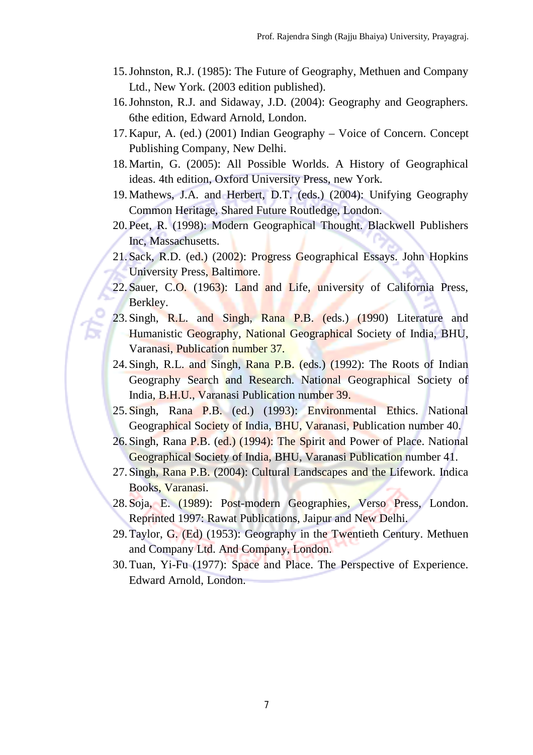- 15.Johnston, R.J. (1985): The Future of Geography, Methuen and Company Ltd., New York. (2003 edition published).
- 16.Johnston, R.J. and Sidaway, J.D. (2004): Geography and Geographers. 6the edition, Edward Arnold, London.
- 17.Kapur, A. (ed.) (2001) Indian Geography Voice of Concern. Concept Publishing Company, New Delhi.
- 18.Martin, G. (2005): All Possible Worlds. A History of Geographical ideas. 4th edition, Oxford University Press, new York.
- 19.Mathews, J.A. and Herbert, D.T. (eds.) (2004): Unifying Geography Common Heritage, Shared Future Routledge, London.
- 20. Peet, R. (1998): Modern Geographical Thought. Blackwell Publishers Inc, Massachusetts.
- 21. Sack, R.D. (ed.) (2002): Progress Geographical Essays. John Hopkins University Press, Baltimore.
- 22. Sauer, C.O. (1963): Land and Life, university of California Press, Berkley.
- 23. Singh, R.L. and Singh, Rana P.B. (eds.) (1990) Literature and Humanistic Geography, National Geographical Society of India, BHU, Varanasi, Publication number 37.
- 24. Singh, R.L. and Singh, Rana P.B. (eds.) (1992): The Roots of Indian Geography Search and Research. National Geographical Society of India, B.H.U., Varanasi Publication number 39.
- 25. Singh, Rana P.B. (ed.) (1993): Environmental Ethics. National Geographical Society of India, BHU, Varanasi, Publication number 40.
- 26. Singh, Rana P.B. (ed.) (1994): The Spirit and Power of Place. National Geographical Society of India, BHU, Varanasi Publication number 41.
- 27. Singh, Rana P.B. (2004): Cultural Landscapes and the Lifework. Indica Books, Varanasi.
- 28. Soja, E. (1989): Post-modern Geographies, Verso Press, London. Reprinted 1997: Rawat Publications, Jaipur and New Delhi.
- 29.Taylor, G. (Ed) (1953): Geography in the Twentieth Century. Methuen and Company Ltd. And Company, London.
- 30.Tuan, Yi-Fu (1977): Space and Place. The Perspective of Experience. Edward Arnold, London.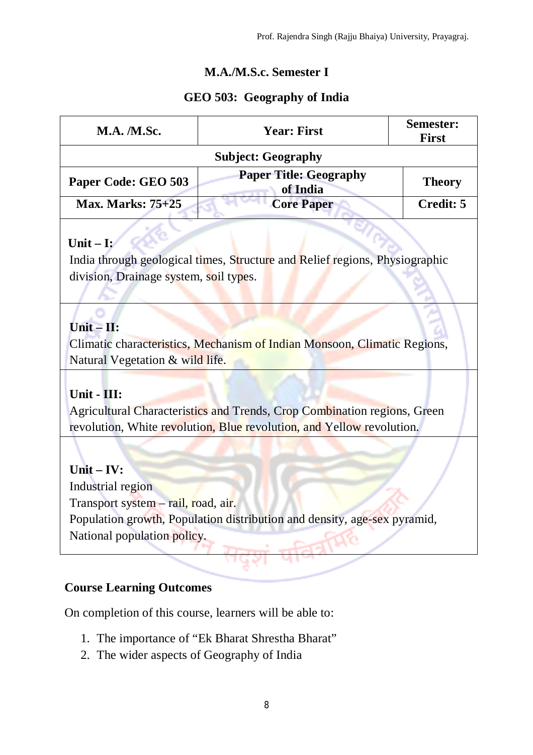# **M.A./M.S.c. Semester I**

### **GEO 503: Geography of India**

| <b>M.A. /M.Sc.</b>        | <b>Year: First</b>                        | <b>Semester:</b><br><b>First</b> |  |  |
|---------------------------|-------------------------------------------|----------------------------------|--|--|
| <b>Subject: Geography</b> |                                           |                                  |  |  |
| Paper Code: GEO 503       | <b>Paper Title: Geography</b><br>of India | <b>Theory</b>                    |  |  |
| <b>Max. Marks: 75+25</b>  | <b>Core Paper</b>                         | Credit: 5                        |  |  |

#### **Unit – I:**

India through geological times, Structure and Relief regions, Physiographic division, Drainage system, soil types.

# **Unit – II:**

Climatic characteristics, Mechanism of Indian Monsoon, Climatic Regions, Natural Vegetation & wild life.

# **Unit - III:**

Agricultural Characteristics and Trends, Crop Combination regions, Green revolution, White revolution, Blue revolution, and Yellow revolution.

**Unit – IV:** Industrial region Transport system – rail, road, air. Population growth, Population distribution and density, age-sex pyramid, National population policy.

### **Course Learning Outcomes**

On completion of this course, learners will be able to:

- 1. The importance of "Ek Bharat Shrestha Bharat"
- 2. The wider aspects of Geography of India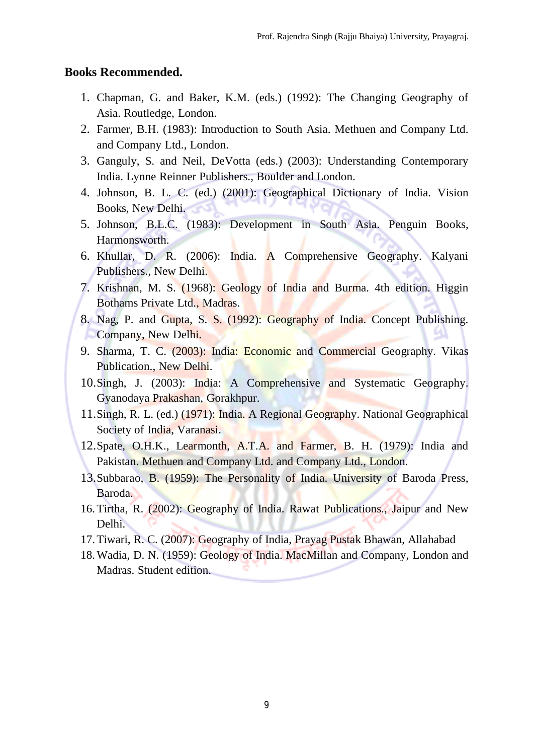#### **Books Recommended.**

- 1. Chapman, G. and Baker, K.M. (eds.) (1992): The Changing Geography of Asia. Routledge, London.
- 2. Farmer, B.H. (1983): Introduction to South Asia. Methuen and Company Ltd. and Company Ltd., London.
- 3. Ganguly, S. and Neil, DeVotta (eds.) (2003): Understanding Contemporary India. Lynne Reinner Publishers., Boulder and London.
- 4. Johnson, B. L. C. (ed.) (2001): Geographical Dictionary of India. Vision Books, New Delhi.
- 5. Johnson, B.L.C. (1983): Development in South Asia. Penguin Books, Harmonsworth.
- 6. Khullar, D. R. (2006): India. A Comprehensive Geography. Kalyani Publishers., New Delhi.
- 7. Krishnan, M. S. (1968): Geology of India and Burma. 4th edition. Higgin Bothams Private Ltd., Madras.
- 8. Nag, P. and Gupta, S. S. (1992): Geography of India. Concept Publishing. Company, New Delhi.
- 9. Sharma, T. C. (2003): India: Economic and Commercial Geography. Vikas Publication., New Delhi.
- 10.Singh, J. (2003): India: A Comprehensive and Systematic Geography. Gyanodaya Prakashan, Gorakhpur.
- 11.Singh, R. L. (ed.) (1971): India. A Regional Geography. National Geographical Society of India, Varanasi.
- 12.Spate, O.H.K., Learmonth, A.T.A. and Farmer, B. H. (1979): India and Pakistan. Methuen and Company Ltd. and Company Ltd., London.
- 13.Subbarao, B. (1959): The Personality of India. University of Baroda Press, Baroda.
- 16.Tirtha, R. (2002): Geography of India. Rawat Publications., Jaipur and New Delhi.
- 17.Tiwari, R. C. (2007): Geography of India, Prayag Pustak Bhawan, Allahabad
- 18.Wadia, D. N. (1959): Geology of India. MacMillan and Company, London and Madras. Student edition.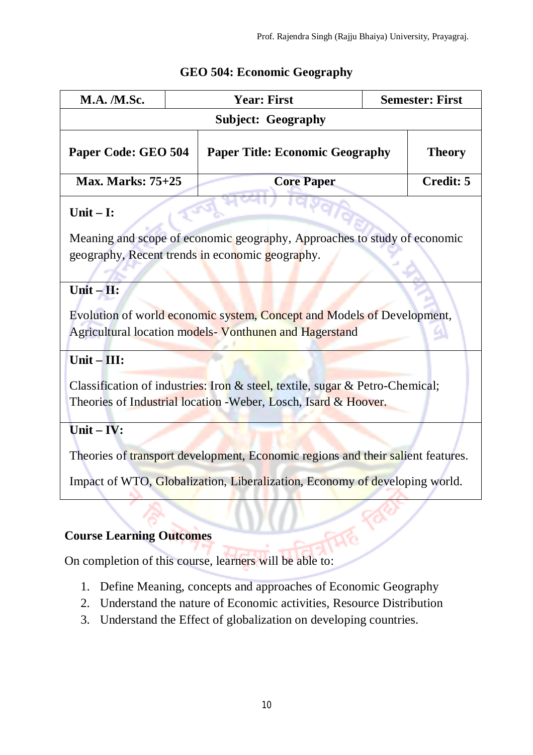| <b>M.A.</b> / <b>M.Sc.</b>      | <b>Year: First</b>                                                                                                                              | <b>Semester: First</b> |
|---------------------------------|-------------------------------------------------------------------------------------------------------------------------------------------------|------------------------|
|                                 | <b>Subject: Geography</b>                                                                                                                       |                        |
| Paper Code: GEO 504             | <b>Paper Title: Economic Geography</b>                                                                                                          | <b>Theory</b>          |
| <b>Max. Marks: 75+25</b>        | <b>Core Paper</b>                                                                                                                               | <b>Credit: 5</b>       |
| Unit $-I$ :                     |                                                                                                                                                 |                        |
|                                 | Meaning and scope of economic geography, Approaches to study of economic<br>geography, Recent trends in economic geography.                     |                        |
| $Unit - II:$                    |                                                                                                                                                 |                        |
|                                 | Evolution of world economic system, Concept and Models of Development,                                                                          |                        |
|                                 | Agricultural location models- Vonthunen and Hagerstand                                                                                          |                        |
| Unit $-III$ :                   |                                                                                                                                                 |                        |
|                                 | Classification of industries: Iron & steel, textile, sugar & Petro-Chemical;<br>Theories of Industrial location - Weber, Losch, Isard & Hoover. |                        |
| $Unit - IV:$                    |                                                                                                                                                 |                        |
|                                 | Theories of transport development, Economic regions and their salient features.                                                                 |                        |
|                                 | Impact of WTO, Globalization, Liberalization, Economy of developing world.                                                                      |                        |
|                                 |                                                                                                                                                 |                        |
| <b>Course Learning Outcomes</b> |                                                                                                                                                 |                        |

# **GEO 504: Economic Geography**

On completion of this course, learners will be able to:

- 1. Define Meaning, concepts and approaches of Economic Geography
- 2. Understand the nature of Economic activities, Resource Distribution
- 3. Understand the Effect of globalization on developing countries.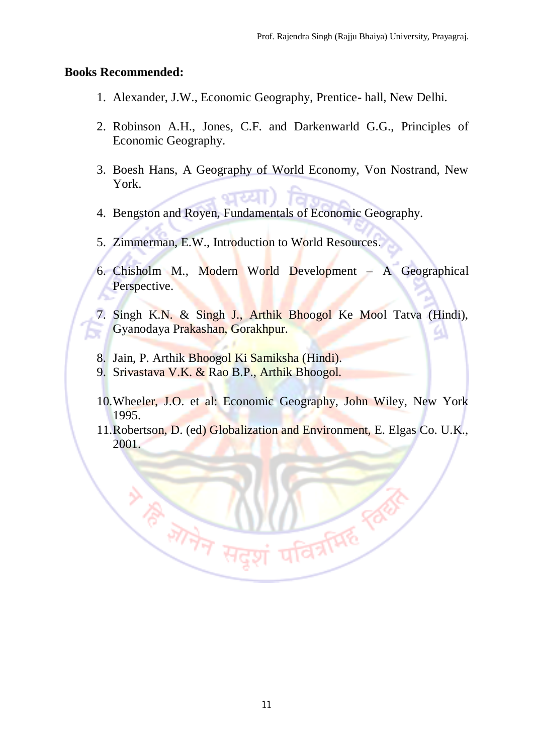#### **Books Recommended:**

- 1. Alexander, J.W., Economic Geography, Prentice- hall, New Delhi.
- 2. Robinson A.H., Jones, C.F. and Darkenwarld G.G., Principles of Economic Geography.
- 3. Boesh Hans, A Geography of World Economy, Von Nostrand, New York.
- 4. Bengston and Royen, Fundamentals of Economic Geography.
- 5. Zimmerman, E.W., Introduction to World Resources.
- 6. Chisholm M., Modern World Development A Geographical Perspective.
- 7. Singh K.N. & Singh J., Arthik Bhoogol Ke Mool Tatva (Hindi), Gyanodaya Prakashan, Gorakhpur.
- 8. Jain, P. Arthik Bhoogol Ki Samiksha (Hindi).
- 9. Srivastava V.K. & Rao B.P., Arthik Bhoogol.

**ANTERNAL ROOM** 

- 10.Wheeler, J.O. et al: Economic Geography, John Wiley, New York 1995.
- 11.Robertson, D. (ed) Globalization and Environment, E. Elgas Co. U.K., 2001.

**DARRY PROPERTY**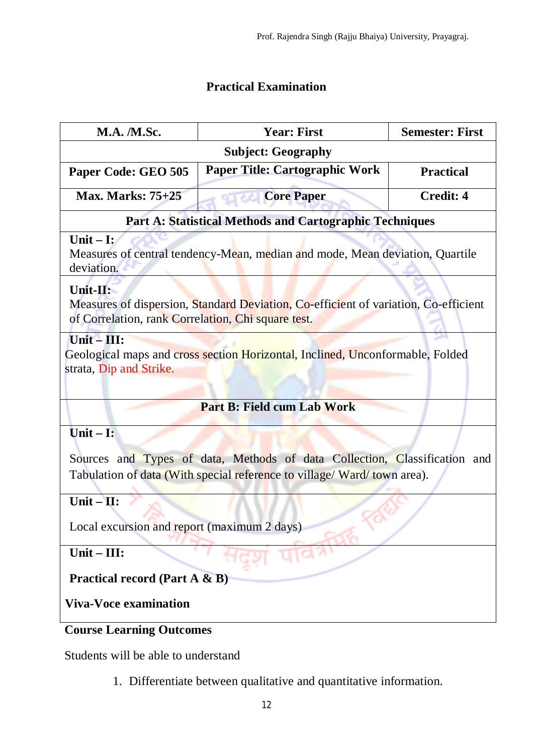# **Practical Examination**

| <b>M.A. /M.Sc.</b>                                 | <b>Year: First</b>                                                                  | <b>Semester: First</b> |  |
|----------------------------------------------------|-------------------------------------------------------------------------------------|------------------------|--|
| <b>Subject: Geography</b>                          |                                                                                     |                        |  |
| Paper Code: GEO 505                                | <b>Paper Title: Cartographic Work</b>                                               | <b>Practical</b>       |  |
| <b>Max. Marks: 75+25</b>                           | <b>Core Paper</b>                                                                   | <b>Credit: 4</b>       |  |
|                                                    | <b>Part A: Statistical Methods and Cartographic Techniques</b>                      |                        |  |
| Unit $-$ I:<br>deviation.                          | Measures of central tendency-Mean, median and mode, Mean deviation, Quartile        |                        |  |
| Unit-II:                                           |                                                                                     |                        |  |
| of Correlation, rank Correlation, Chi square test. | Measures of dispersion, Standard Deviation, Co-efficient of variation, Co-efficient |                        |  |
| $Unit - III:$                                      |                                                                                     |                        |  |
|                                                    | Geological maps and cross section Horizontal, Inclined, Unconformable, Folded       |                        |  |
| strata, Dip and Strike.                            |                                                                                     |                        |  |
|                                                    |                                                                                     |                        |  |
|                                                    | <b>Part B: Field cum Lab Work</b>                                                   |                        |  |
| Unit $-$ I:                                        |                                                                                     |                        |  |
|                                                    | Sources and Types of data, Methods of data Collection, Classification and           |                        |  |
|                                                    | Tabulation of data (With special reference to village/ Ward/ town area).            |                        |  |
| $Unit - II:$                                       |                                                                                     |                        |  |
|                                                    |                                                                                     |                        |  |
| Local excursion and report (maximum 2 days)        |                                                                                     |                        |  |
| Unit-III:                                          |                                                                                     |                        |  |
| <b>Practical record (Part A &amp; B)</b>           |                                                                                     |                        |  |
| <b>Viva-Voce examination</b>                       |                                                                                     |                        |  |
| <b>Course Learning Outcomes</b>                    |                                                                                     |                        |  |

Students will be able to understand

1. Differentiate between qualitative and quantitative information.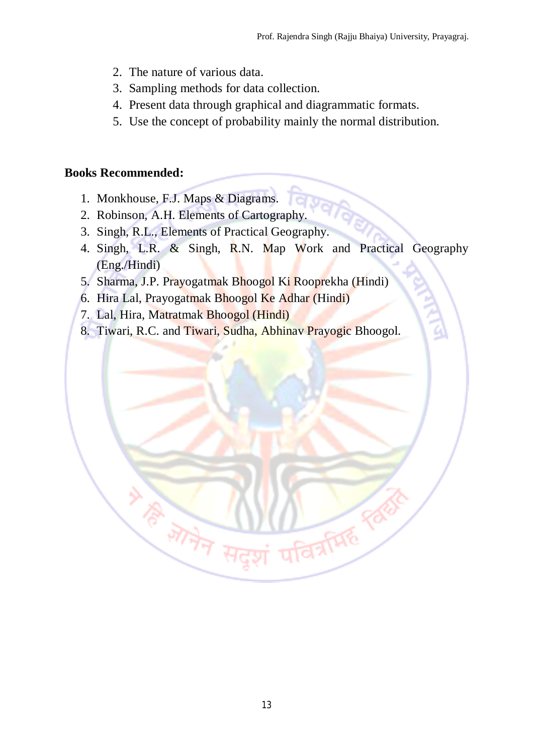- 2. The nature of various data.
- 3. Sampling methods for data collection.
- 4. Present data through graphical and diagrammatic formats.
- 5. Use the concept of probability mainly the normal distribution.

#### **Books Recommended:**

- 1. Monkhouse, F.J. Maps & Diagrams.
- 2. Robinson, A.H. Elements of Cartography.
- 3. Singh, R.L., Elements of Practical Geography.
- 4. Singh, L.R. & Singh, R.N. Map Work and Practical Geography (Eng./Hindi)
- 5. Sharma, J.P. Prayogatmak Bhoogol Ki Rooprekha (Hindi)
- 6. Hira Lal, Prayogatmak Bhoogol Ke Adhar (Hindi)
- 7. Lal, Hira, Matratmak Bhoogol (Hindi)

**WARTHAMES** 

8. Tiwari, R.C. and Tiwari, Sudha, Abhinav Prayogic Bhoogol.

**DARRY READ**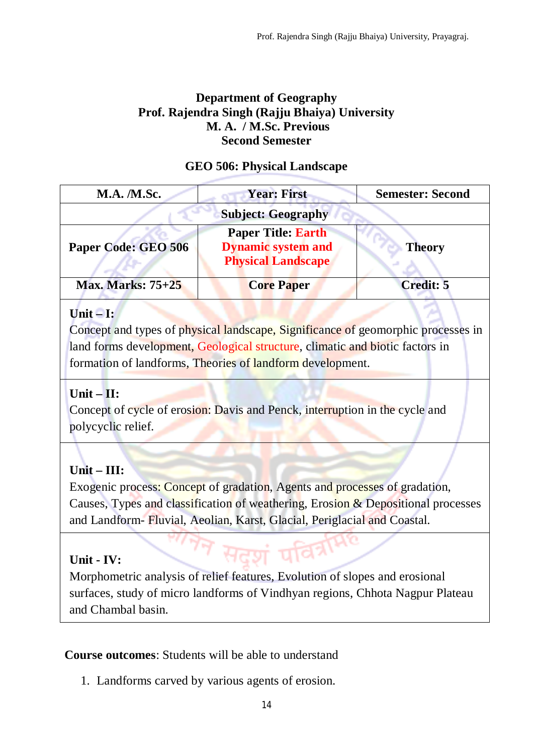### **Department of Geography Prof. Rajendra Singh (Rajju Bhaiya) University M. A. / M.Sc. Previous Second Semester**

### **GEO 506: Physical Landscape**

| <b>M.A.</b> / <b>M.Sc.</b> | <b>Year: First</b>                                                                  | <b>Semester: Second</b> |
|----------------------------|-------------------------------------------------------------------------------------|-------------------------|
|                            | <b>Subject: Geography</b>                                                           |                         |
| Paper Code: GEO 506        | <b>Paper Title: Earth</b><br><b>Dynamic system and</b><br><b>Physical Landscape</b> | <b>Theory</b>           |
| <b>Max. Marks: 75+25</b>   | <b>Core Paper</b>                                                                   | <b>Credit: 5</b>        |

### **Unit – I:**

Concept and types of physical landscape, Significance of geomorphic processes in land forms development, Geological structure, climatic and biotic factors in formation of landforms, Theories of landform development.

# **Unit – II:**

Concept of cycle of erosion: Davis and Penck, interruption in the cycle and polycyclic relief.

# **Unit – III:**

Exogenic process: Concept of gradation, Agents and processes of gradation, Causes, Types and classification of weathering, Erosion & Depositional processes and Landform- Fluvial, Aeolian, Karst, Glacial, Periglacial and Coastal.

# **Unit - IV:**

Morphometric analysis of relief features, Evolution of slopes and erosional surfaces, study of micro landforms of Vindhyan regions, Chhota Nagpur Plateau and Chambal basin.

### **Course outcomes**: Students will be able to understand

1. Landforms carved by various agents of erosion.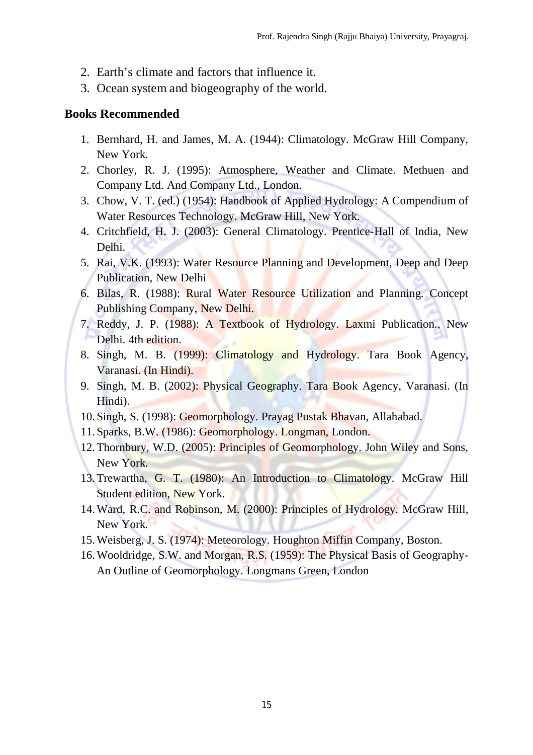- 2. Earth's climate and factors that influence it.
- 3. Ocean system and biogeography of the world.

#### **Books Recommended**

- 1. Bernhard, H. and James, M. A. (1944): Climatology. McGraw Hill Company, New York.
- 2. Chorley, R. J. (1995): Atmosphere, Weather and Climate. Methuen and Company Ltd. And Company Ltd., London.
- 3. Chow, V. T. (ed.) (1954): Handbook of Applied Hydrology: A Compendium of Water Resources Technology. McGraw Hill, New York.
- 4. Critchfield, H. J. (2003): General Climatology. Prentice-Hall of India, New Delhi.
- 5. Rai, V.K. (1993): Water Resource Planning and Development, Deep and Deep Publication, New Delhi
- 6. Bilas, R. (1988): Rural Water Resource Utilization and Planning. Concept Publishing Company, New Delhi.
- 7. Reddy, J. P. (1988): A Textbook of Hydrology. Laxmi Publication., New Delhi. 4th edition.
- 8. Singh, M. B. (1999): Climatology and Hydrology. Tara Book Agency, Varanasi. (In Hindi).
- 9. Singh, M. B. (2002): Physical Geography. Tara Book Agency, Varanasi. (In Hindi).
- 10. Singh, S. (1998): Geomorphology. Prayag Pustak Bhavan, Allahabad.
- 11. Sparks, B.W. (1986): Geomorphology. Longman, London.
- 12.Thornbury, W.D. (2005): Principles of Geomorphology. John Wiley and Sons, New York.
- 13.Trewartha, G. T. (1980): An Introduction to Climatology. McGraw Hill Student edition, New York.
- 14.Ward, R.C. and Robinson, M. (2000): Principles of Hydrology. McGraw Hill, New York.
- 15.Weisberg, J. S. (1974): Meteorology. Houghton Miffin Company, Boston.
- 16.Wooldridge, S.W. and Morgan, R.S. (1959): The Physical Basis of Geography-An Outline of Geomorphology. Longmans Green, London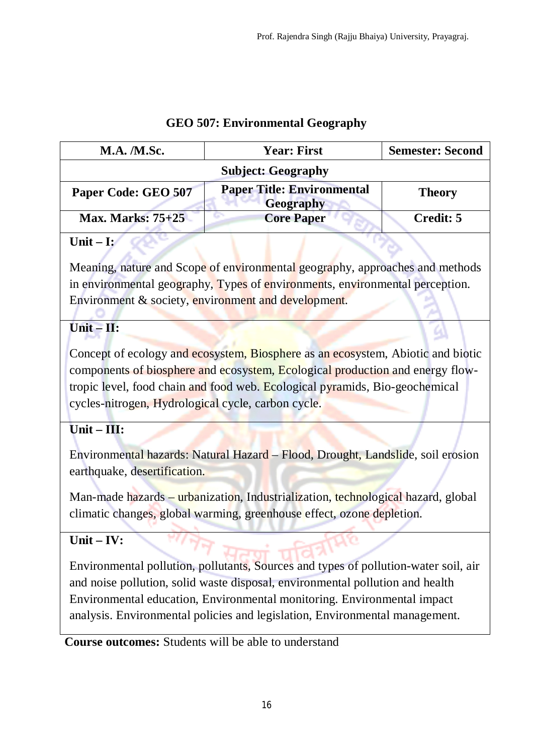# **GEO 507: Environmental Geography**

| <b>M.A.</b> <i>M.Sc.</i> | <b>Year: First</b>                                    | <b>Semester: Second</b> |
|--------------------------|-------------------------------------------------------|-------------------------|
|                          | <b>Subject: Geography</b>                             |                         |
| Paper Code: GEO 507      | <b>Paper Title: Environmental</b><br><b>Geography</b> | <b>Theory</b>           |
| <b>Max. Marks: 75+25</b> | <b>Core Paper</b>                                     | Credit: 5               |

# **Unit – I:**

Meaning, nature and Scope of environmental geography, approaches and methods in environmental geography, Types of environments, environmental perception. Environment & society, environment and development.

# **Unit – II:**

Concept of ecology and ecosystem, Biosphere as an ecosystem, Abiotic and biotic components of biosphere and ecosystem, Ecological production and energy flowtropic level, food chain and food web. Ecological pyramids, Bio-geochemical cycles-nitrogen, Hydrological cycle, carbon cycle.

# **Unit – III:**

Environmental hazards: Natural Hazard – Flood, Drought, Landslide, soil erosion earthquake, desertification.

Man-made hazards – urbanization, Industrialization, technological hazard, global climatic changes, global warming, greenhouse effect, ozone depletion.

# **Unit – IV:**

Environmental pollution, pollutants, Sources and types of pollution-water soil, air and noise pollution, solid waste disposal, environmental pollution and health Environmental education, Environmental monitoring. Environmental impact analysis. Environmental policies and legislation, Environmental management.

**Course outcomes:** Students will be able to understand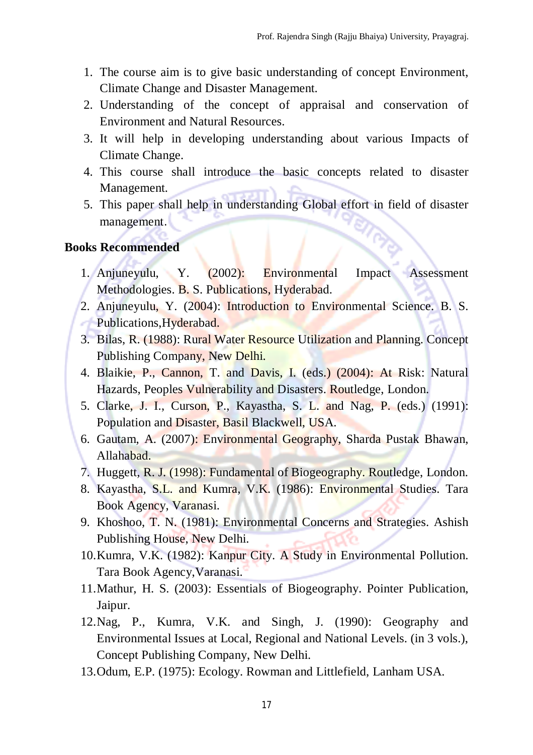- 1. The course aim is to give basic understanding of concept Environment, Climate Change and Disaster Management.
- 2. Understanding of the concept of appraisal and conservation of Environment and Natural Resources.
- 3. It will help in developing understanding about various Impacts of Climate Change.
- 4. This course shall introduce the basic concepts related to disaster Management.
- 5. This paper shall help in understanding Global effort in field of disaster management.

#### **Books Recommended**

- 1. Anjuneyulu, Y. (2002): Environmental Impact Assessment Methodologies. B. S. Publications, Hyderabad.
- 2. Anjuneyulu, Y. (2004): Introduction to Environmental Science. B. S. Publications, Hyderabad.
- 3. Bilas, R. (1988): Rural Water Resource Utilization and Planning. Concept Publishing Company, New Delhi.
- 4. Blaikie, P., Cannon, T. and Davis, I. (eds.) (2004): At Risk: Natural Hazards, Peoples Vulnerability and Disasters. Routledge, London.
- 5. Clarke, J. I., Curson, P., Kayastha, S. L. and Nag, P. (eds.) (1991): Population and Disaster, Basil Blackwell, USA.
- 6. Gautam, A. (2007): Environmental Geography, Sharda Pustak Bhawan, Allahabad.
- 7. Huggett, R. J. (1998): Fundamental of Biogeography. Routledge, London.
- 8. Kayastha, S.L. and Kumra, V.K. (1986): Environmental Studies. Tara Book Agency, Varanasi.
- 9. Khoshoo, T. N. (1981): Environmental Concerns and Strategies. Ashish Publishing House, New Delhi.
- 10.Kumra, V.K. (1982): Kanpur City. A Study in Environmental Pollution. Tara Book Agency,Varanasi.
- 11.Mathur, H. S. (2003): Essentials of Biogeography. Pointer Publication, Jaipur.
- 12.Nag, P., Kumra, V.K. and Singh, J. (1990): Geography and Environmental Issues at Local, Regional and National Levels. (in 3 vols.), Concept Publishing Company, New Delhi.
- 13.Odum, E.P. (1975): Ecology. Rowman and Littlefield, Lanham USA.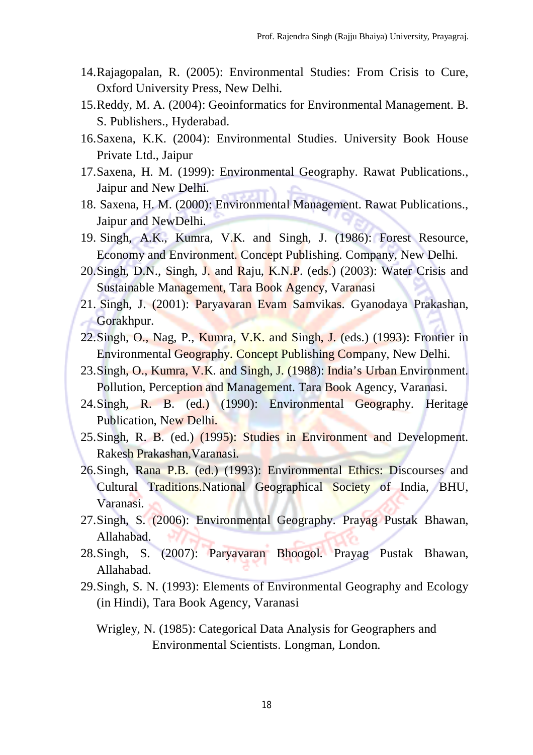- 14.Rajagopalan, R. (2005): Environmental Studies: From Crisis to Cure, Oxford University Press, New Delhi.
- 15.Reddy, M. A. (2004): Geoinformatics for Environmental Management. B. S. Publishers., Hyderabad.
- 16.Saxena, K.K. (2004): Environmental Studies. University Book House Private Ltd., Jaipur
- 17.Saxena, H. M. (1999): Environmental Geography. Rawat Publications., Jaipur and New Delhi.
- 18. Saxena, H. M. (2000): Environmental Management. Rawat Publications., Jaipur and NewDelhi.
- 19. Singh, A.K., Kumra, V.K. and Singh, J. (1986): Forest Resource, Economy and Environment. Concept Publishing. Company, New Delhi.
- 20.Singh, D.N., Singh, J. and Raju, K.N.P. (eds.) (2003): Water Crisis and Sustainable Management, Tara Book Agency, Varanasi
- 21. Singh, J. (2001): Paryavaran Evam Samvikas. Gyanodaya Prakashan, Gorakhpur.
- 22.Singh, O., Nag, P., Kumra, V.K. and Singh, J. (eds.) (1993): Frontier in Environmental Geography. Concept Publishing Company, New Delhi.
- 23.Singh, O., Kumra, V.K. and Singh, J. (1988): India's Urban Environment. Pollution, Perception and Management. Tara Book Agency, Varanasi.
- 24.Singh, R. B. (ed.) (1990): Environmental Geography. Heritage Publication, New Delhi.
- 25.Singh, R. B. (ed.) (1995): Studies in Environment and Development. Rakesh Prakashan,Varanasi.
- 26.Singh, Rana P.B. (ed.) (1993): Environmental Ethics: Discourses and Cultural Traditions.National Geographical Society of India, BHU, Varanasi.
- 27.Singh, S. (2006): Environmental Geography. Prayag Pustak Bhawan, Allahabad.
- 28.Singh, S. (2007): Paryavaran Bhoogol. Prayag Pustak Bhawan, Allahabad.
- 29.Singh, S. N. (1993): Elements of Environmental Geography and Ecology (in Hindi), Tara Book Agency, Varanasi
	- Wrigley, N. (1985): Categorical Data Analysis for Geographers and Environmental Scientists. Longman, London.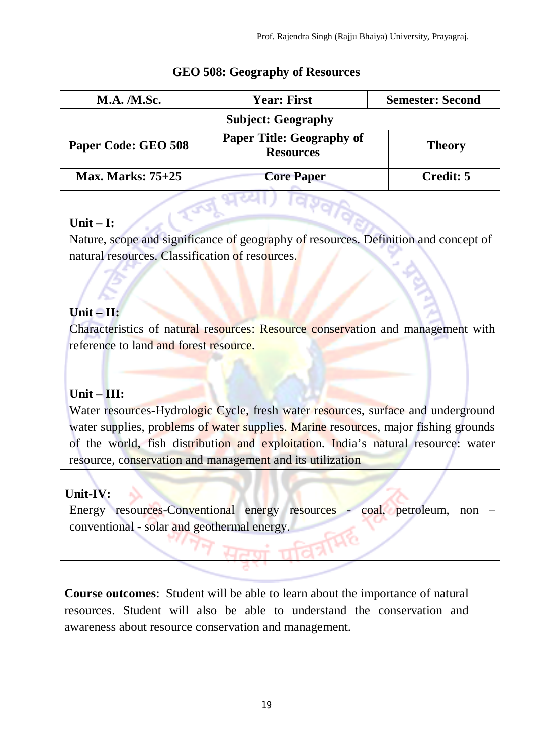| <b>M.A.</b> <i>M.Sc.</i> | <b>Year: First</b>                                   | <b>Semester: Second</b> |
|--------------------------|------------------------------------------------------|-------------------------|
|                          | <b>Subject: Geography</b>                            |                         |
| Paper Code: GEO 508      | <b>Paper Title: Geography of</b><br><b>Resources</b> | <b>Theory</b>           |
| <b>Max. Marks: 75+25</b> | <b>Core Paper</b>                                    | Credit: 5               |

### **GEO 508: Geography of Resources**

### **Unit – I:**

Nature, scope and significance of geography of resources. Definition and concept of natural resources. Classification of resources.

# **Unit – II:**

Characteristics of natural resources: Resource conservation and management with reference to land and forest resource.

# **Unit – III:**

Water resources-Hydrologic Cycle, fresh water resources, surface and underground water supplies, problems of water supplies. Marine resources, major fishing grounds of the world, fish distribution and exploitation. India's natural resource: water resource, conservation and management and its utilization

# **Unit-IV:**

Energy resources-Conventional energy resources - coal, petroleum, non – conventional - solar and geothermal energy.

**Course outcomes**: Student will be able to learn about the importance of natural resources. Student will also be able to understand the conservation and awareness about resource conservation and management.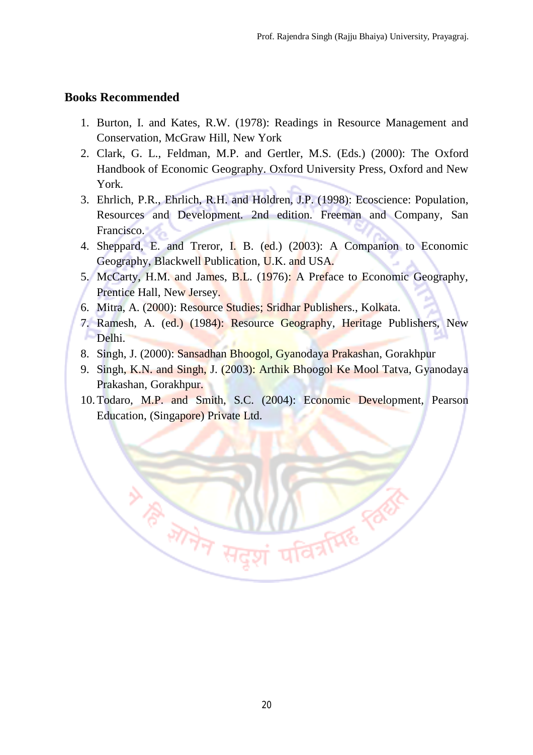#### **Books Recommended**

- 1. Burton, I. and Kates, R.W. (1978): Readings in Resource Management and Conservation, McGraw Hill, New York
- 2. Clark, G. L., Feldman, M.P. and Gertler, M.S. (Eds.) (2000): The Oxford Handbook of Economic Geography. Oxford University Press, Oxford and New York.
- 3. Ehrlich, P.R., Ehrlich, R.H. and Holdren, J.P. (1998): Ecoscience: Population, Resources and Development. 2nd edition. Freeman and Company, San Francisco.
- 4. Sheppard, E. and Treror, I. B. (ed.) (2003): A Companion to Economic Geography, Blackwell Publication, U.K. and USA.
- 5. McCarty, H.M. and James, B.L. (1976): A Preface to Economic Geography, Prentice Hall, New Jersey.
- 6. Mitra, A. (2000): Resource Studies; Sridhar Publishers., Kolkata.

**ANTIFICIAL REAL** 

- 7. Ramesh, A. (ed.) (1984): Resource Geography, Heritage Publishers, New Delhi.
- 8. Singh, J. (2000): Sansadhan Bhoogol, Gyanodaya Prakashan, Gorakhpur
- 9. Singh, K.N. and Singh, J. (2003): Arthik Bhoogol Ke Mool Tatva, Gyanodaya Prakashan, Gorakhpur.
- 10.Todaro, M.P. and Smith, S.C. (2004): Economic Development, Pearson Education, (Singapore) Private Ltd.

**ID A REAL PROPERTY**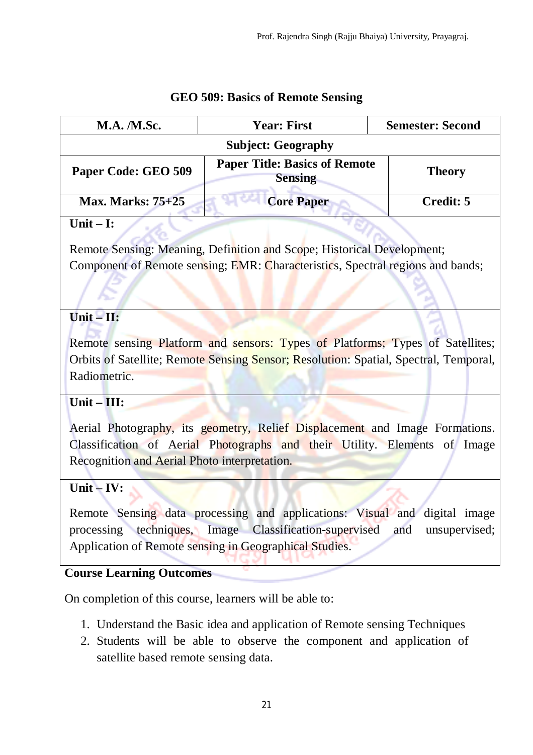| <b>M.A. /M.Sc.</b>                                                                                                                                                                                                                                       | <b>Year: First</b>                                                                                                                                                    | <b>Semester: Second</b> |
|----------------------------------------------------------------------------------------------------------------------------------------------------------------------------------------------------------------------------------------------------------|-----------------------------------------------------------------------------------------------------------------------------------------------------------------------|-------------------------|
| <b>Subject: Geography</b>                                                                                                                                                                                                                                |                                                                                                                                                                       |                         |
| Paper Code: GEO 509                                                                                                                                                                                                                                      | <b>Paper Title: Basics of Remote</b><br><b>Sensing</b>                                                                                                                | <b>Theory</b>           |
| <b>Max. Marks: 75+25</b>                                                                                                                                                                                                                                 | <b>Core Paper</b>                                                                                                                                                     | <b>Credit: 5</b>        |
| Unit $-$ I:                                                                                                                                                                                                                                              |                                                                                                                                                                       |                         |
| Remote Sensing: Meaning, Definition and Scope; Historical Development;<br>Component of Remote sensing; EMR: Characteristics, Spectral regions and bands;                                                                                                 |                                                                                                                                                                       |                         |
| $Unit - II:$                                                                                                                                                                                                                                             |                                                                                                                                                                       |                         |
| Radiometric.                                                                                                                                                                                                                                             | Remote sensing Platform and sensors: Types of Platforms; Types of Satellites;<br>Orbits of Satellite; Remote Sensing Sensor; Resolution: Spatial, Spectral, Temporal, |                         |
| Unit $\overline{-1}$ III:                                                                                                                                                                                                                                |                                                                                                                                                                       |                         |
| Aerial Photography, its geometry, Relief Displacement and Image Formations.<br>Classification of Aerial Photographs and their Utility. Elements of Image<br>Recognition and Aerial Photo interpretation.                                                 |                                                                                                                                                                       |                         |
| Unit $-$ IV:                                                                                                                                                                                                                                             |                                                                                                                                                                       |                         |
| Remote Sensing data processing and applications: Visual and digital image<br>processing techniques, Image Classification-supervised<br>and<br>unsupervised;<br>Application of Remote sensing in Geographical Studies.<br><b>Course Learning Outcomes</b> |                                                                                                                                                                       |                         |
| On completion of this course, learners will be able to:                                                                                                                                                                                                  |                                                                                                                                                                       |                         |
|                                                                                                                                                                                                                                                          |                                                                                                                                                                       |                         |

# **GEO 509: Basics of Remote Sensing**

- 1. Understand the Basic idea and application of Remote sensing Techniques
- 2. Students will be able to observe the component and application of satellite based remote sensing data.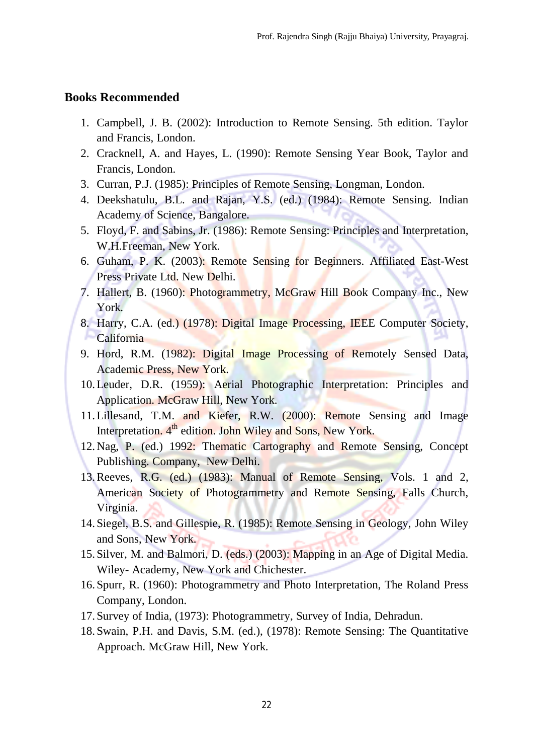#### **Books Recommended**

- 1. Campbell, J. B. (2002): Introduction to Remote Sensing. 5th edition. Taylor and Francis, London.
- 2. Cracknell, A. and Hayes, L. (1990): Remote Sensing Year Book, Taylor and Francis, London.
- 3. Curran, P.J. (1985): Principles of Remote Sensing, Longman, London.
- 4. Deekshatulu, B.L. and Rajan, Y.S. (ed.) (1984): Remote Sensing. Indian Academy of Science, Bangalore.
- 5. Floyd, F. and Sabins, Jr. (1986): Remote Sensing: Principles and Interpretation, W.H.Freeman, New York.
- 6. Guham, P. K. (2003): Remote Sensing for Beginners. Affiliated East-West Press Private Ltd. New Delhi.
- 7. Hallert, B. (1960): Photogrammetry, McGraw Hill Book Company Inc., New York.
- 8. Harry, C.A. (ed.) (1978): Digital Image Processing, IEEE Computer Society, **California**
- 9. Hord, R.M. (1982): Digital Image Processing of Remotely Sensed Data, Academic Press, New York.
- 10.Leuder, D.R. (1959): Aerial Photographic Interpretation: Principles and Application. McGraw Hill, New York.
- 11.Lillesand, T.M. and Kiefer, R.W. (2000): Remote Sensing and Image Interpretation. 4<sup>th</sup> edition. John Wiley and Sons, New York.
- 12.Nag, P. (ed.) 1992: Thematic Cartography and Remote Sensing, Concept Publishing. Company, New Delhi.
- 13.Reeves, R.G. (ed.) (1983): Manual of Remote Sensing, Vols. 1 and 2, American Society of Photogrammetry and Remote Sensing, Falls Church, Virginia.
- 14. Siegel, B.S. and Gillespie, R. (1985): Remote Sensing in Geology, John Wiley and Sons, New York.
- 15. Silver, M. and Balmori, D. (eds.) (2003): Mapping in an Age of Digital Media. Wiley- Academy, New York and Chichester.
- 16. Spurr, R. (1960): Photogrammetry and Photo Interpretation, The Roland Press Company, London.
- 17. Survey of India, (1973): Photogrammetry, Survey of India, Dehradun.
- 18. Swain, P.H. and Davis, S.M. (ed.), (1978): Remote Sensing: The Quantitative Approach. McGraw Hill, New York.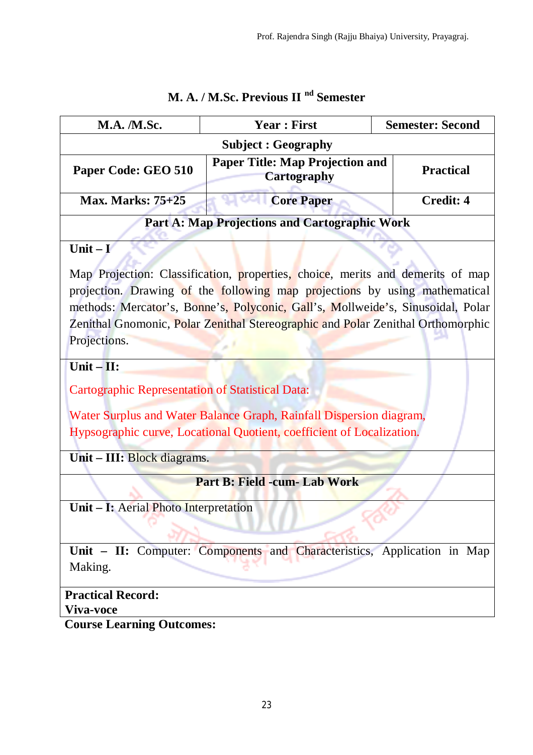| M.A. /M.Sc.                                                                         | <b>Year: First</b>                                                                                                                                                 | <b>Semester: Second</b> |
|-------------------------------------------------------------------------------------|--------------------------------------------------------------------------------------------------------------------------------------------------------------------|-------------------------|
| <b>Subject: Geography</b>                                                           |                                                                                                                                                                    |                         |
| <b>Paper Title: Map Projection and</b><br>Paper Code: GEO 510<br><b>Cartography</b> |                                                                                                                                                                    | <b>Practical</b>        |
| <b>Max. Marks: 75+25</b>                                                            | <b>Core Paper</b>                                                                                                                                                  | <b>Credit: 4</b>        |
|                                                                                     | <b>Part A: Map Projections and Cartographic Work</b>                                                                                                               |                         |
| Unit $ \mathbf{V}$                                                                  | Map Projection: Classification, properties, choice, merits and demerits of map<br>projection. Drawing of the following map projections by using mathematical       |                         |
| Projections.                                                                        | methods: Mercator's, Bonne's, Polyconic, Gall's, Mollweide's, Sinusoidal, Polar<br>Zenithal Gnomonic, Polar Zenithal Stereographic and Polar Zenithal Orthomorphic |                         |
| Unit $-II$ :                                                                        |                                                                                                                                                                    |                         |
| <b>Cartographic Representation of Statistical Data:</b>                             |                                                                                                                                                                    |                         |
|                                                                                     | Water Surplus and Water Balance Graph, Rainfall Dispersion diagram,<br>Hypsographic curve, Locational Quotient, coefficient of Localization.                       |                         |
| Unit – III: Block diagrams.                                                         |                                                                                                                                                                    |                         |
|                                                                                     | Part B: Field -cum- Lab Work                                                                                                                                       |                         |
| Unit - I: Aerial Photo Interpretation                                               |                                                                                                                                                                    |                         |
| Making.                                                                             | Unit – II: Computer: Components and Characteristics, Application in Map                                                                                            |                         |
| <b>Practical Record:</b><br>Viva-voce                                               |                                                                                                                                                                    |                         |
| <b>Course Learning Outcomes:</b>                                                    |                                                                                                                                                                    |                         |

# **M. A. / M.Sc. Previous II nd Semester**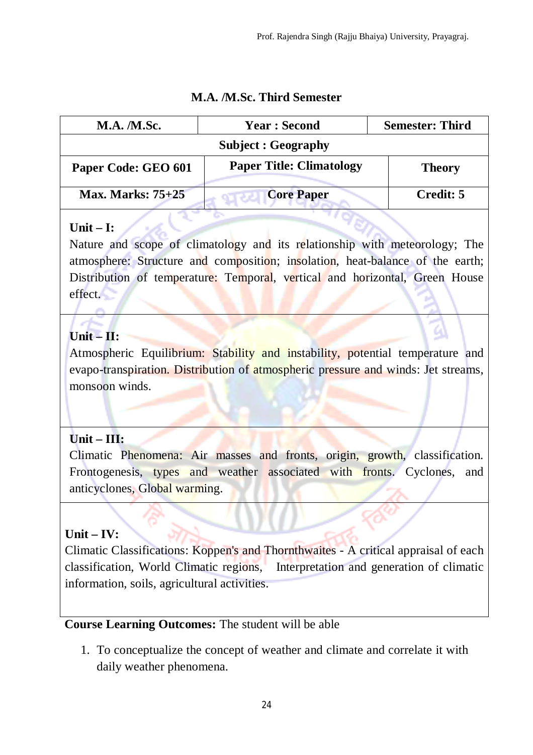| <b>M.A.</b> <i>M.Sc.</i> | <b>Year: Second</b>             | <b>Semester: Third</b> |
|--------------------------|---------------------------------|------------------------|
|                          | <b>Subject : Geography</b>      |                        |
| Paper Code: GEO 601      | <b>Paper Title: Climatology</b> | <b>Theory</b>          |
| <b>Max. Marks: 75+25</b> | <b>Core Paper</b>               | Credit: 5              |

### **M.A. /M.Sc. Third Semester**

### **Unit – I:**

Nature and scope of climatology and its relationship with meteorology; The atmosphere: Structure and composition; insolation, heat-balance of the earth; Distribution of temperature: Temporal, vertical and horizontal, Green House effect.

# **Unit – II:**

Atmospheric Equilibrium: Stability and instability, potential temperature and evapo-transpiration. Distribution of atmospheric pressure and winds: Jet streams, monsoon winds.

# **Unit – III:**

Climatic Phenomena: Air masses and fronts, origin, growth, classification. Frontogenesis, types and weather associated with fronts. Cyclones, and anticyclones, Global warming.

# **Unit – IV:**

Climatic Classifications: Koppen's and Thornthwaites - A critical appraisal of each classification, World Climatic regions, Interpretation and generation of climatic information, soils, agricultural activities.

# **Course Learning Outcomes:** The student will be able

1. To conceptualize the concept of weather and climate and correlate it with daily weather phenomena.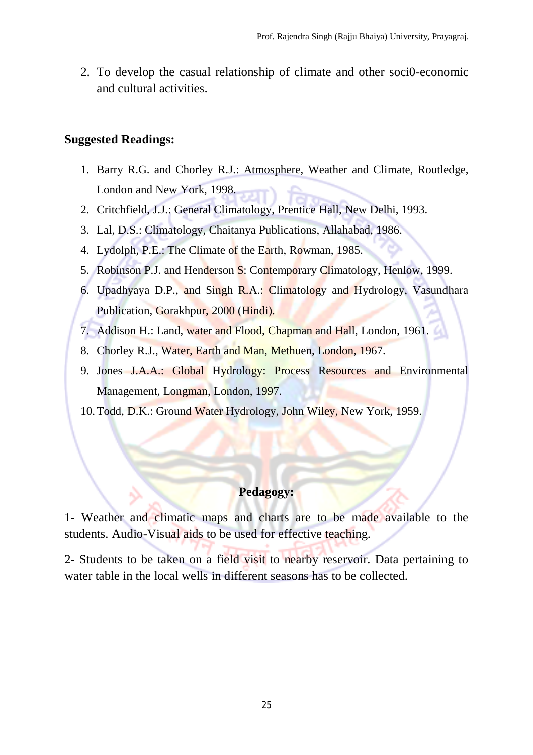2. To develop the casual relationship of climate and other soci0-economic and cultural activities.

#### **Suggested Readings:**

- 1. Barry R.G. and Chorley R.J.: Atmosphere, Weather and Climate, Routledge, London and New York, 1998.
- 2. Critchfield, J.J.: General Climatology, Prentice Hall, New Delhi, 1993.
- 3. Lal, D.S.: Climatology, Chaitanya Publications, Allahabad, 1986.
- 4. Lydolph, P.E.: The Climate of the Earth, Rowman, 1985.
- 5. Robinson P.J. and Henderson S: Contemporary Climatology, Henlow, 1999.
- 6. Upadhyaya D.P., and Singh R.A.: Climatology and Hydrology, Vasundhara Publication, Gorakhpur, 2000 (Hindi).
- 7. Addison H.: Land, water and Flood, Chapman and Hall, London, 1961.
- 8. Chorley R.J., Water, Earth and Man, Methuen, London, 1967.
- 9. Jones J.A.A.: Global Hydrology: Process Resources and Environmental Management, Longman, London, 1997.
- 10.Todd, D.K.: Ground Water Hydrology, John Wiley, New York, 1959.

### **Pedagogy:**

1- Weather and climatic maps and charts are to be made available to the students. Audio-Visual aids to be used for effective teaching.

2- Students to be taken on a field visit to nearby reservoir. Data pertaining to water table in the local wells in different seasons has to be collected.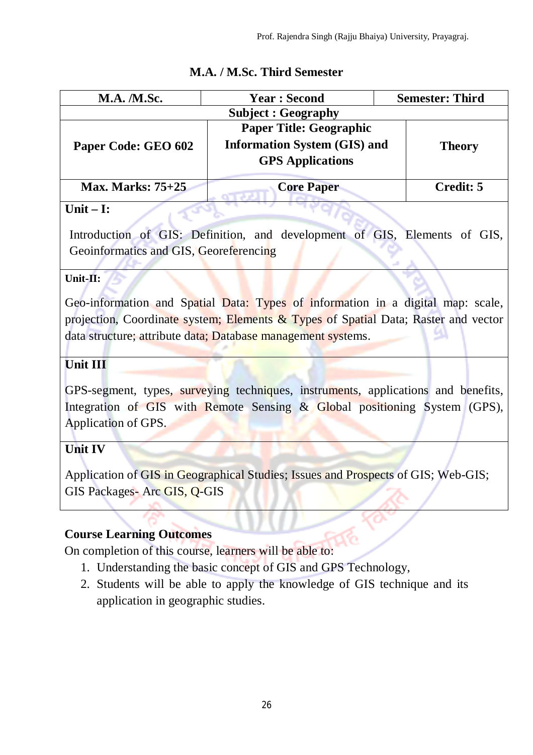| <b>M.A.</b> <i>M.Sc.</i> | <b>Year: Second</b>                                                                              | <b>Semester: Third</b> |
|--------------------------|--------------------------------------------------------------------------------------------------|------------------------|
|                          | <b>Subject : Geography</b>                                                                       |                        |
| Paper Code: GEO 602      | <b>Paper Title: Geographic</b><br><b>Information System (GIS) and</b><br><b>GPS</b> Applications | <b>Theory</b>          |
| <b>Max. Marks: 75+25</b> | <b>Core Paper</b>                                                                                | Credit: 5              |

# **M.A. / M.Sc. Third Semester**

### **Unit – I:**

Introduction of GIS: Definition, and development of GIS, Elements of GIS, Geoinformatics and GIS, Georeferencing

#### **Unit-II:**

Geo-information and Spatial Data: Types of information in a digital map: scale, projection, Coordinate system; Elements & Types of Spatial Data; Raster and vector data structure; attribute data; Database management systems.

### **Unit III**

GPS-segment, types, surveying techniques, instruments, applications and benefits, Integration of GIS with Remote Sensing & Global positioning System (GPS), Application of GPS.

# **Unit IV**

Application of GIS in Geographical Studies; Issues and Prospects of GIS; Web-GIS; GIS Packages- Arc GIS, Q-GIS

# **Course Learning Outcomes**

On completion of this course, learners will be able to:

- 1. Understanding the basic concept of GIS and GPS Technology,
- 2. Students will be able to apply the knowledge of GIS technique and its application in geographic studies.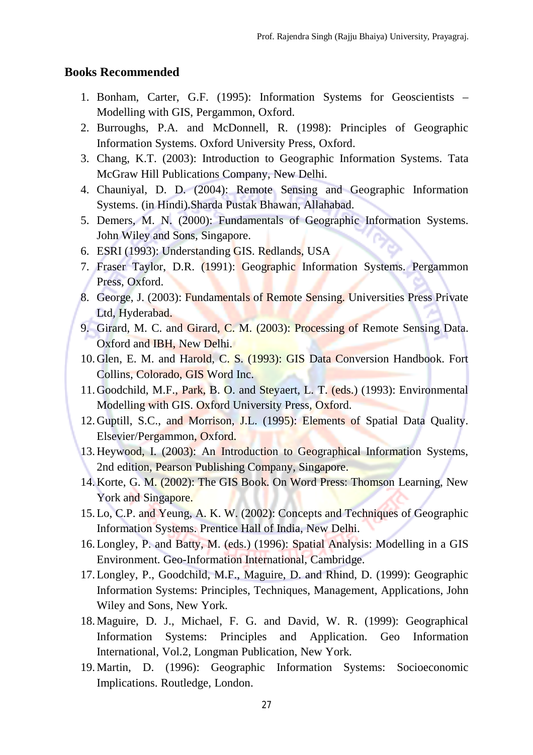#### **Books Recommended**

- 1. Bonham, Carter, G.F. (1995): Information Systems for Geoscientists Modelling with GIS, Pergammon, Oxford.
- 2. Burroughs, P.A. and McDonnell, R. (1998): Principles of Geographic Information Systems. Oxford University Press, Oxford.
- 3. Chang, K.T. (2003): Introduction to Geographic Information Systems. Tata McGraw Hill Publications Company, New Delhi.
- 4. Chauniyal, D. D. (2004): Remote Sensing and Geographic Information Systems. (in Hindi).Sharda Pustak Bhawan, Allahabad.
- 5. Demers, M. N. (2000): Fundamentals of Geographic Information Systems. John Wiley and Sons, Singapore.
- 6. ESRI (1993): Understanding GIS. Redlands, USA
- 7. Fraser Taylor, D.R. (1991): Geographic Information Systems. Pergammon Press, Oxford.
- 8. George, J. (2003): Fundamentals of Remote Sensing. Universities Press Private Ltd, Hyderabad.
- 9. Girard, M. C. and Girard, C. M. (2003): Processing of Remote Sensing Data. Oxford and IBH, New Delhi.
- 10.Glen, E. M. and Harold, C. S. (1993): GIS Data Conversion Handbook. Fort Collins, Colorado, GIS Word Inc.
- 11.Goodchild, M.F., Park, B. O. and Steyaert, L. T. (eds.) (1993): Environmental Modelling with GIS. Oxford University Press, Oxford.
- 12.Guptill, S.C., and Morrison, J.L. (1995): Elements of Spatial Data Quality. Elsevier/Pergammon, Oxford.
- 13.Heywood, I. (2003): An Introduction to Geographical Information Systems, 2nd edition, Pearson Publishing Company, Singapore.
- 14.Korte, G. M. (2002): The GIS Book. On Word Press: Thomson Learning, New York and Singapore.
- 15.Lo, C.P. and Yeung, A. K. W. (2002): Concepts and Techniques of Geographic Information Systems. Prentice Hall of India, New Delhi.
- 16.Longley, P. and Batty, M. (eds.) (1996): Spatial Analysis: Modelling in a GIS Environment. Geo-Information International, Cambridge.
- 17.Longley, P., Goodchild, M.F., Maguire, D. and Rhind, D. (1999): Geographic Information Systems: Principles, Techniques, Management, Applications, John Wiley and Sons, New York.
- 18.Maguire, D. J., Michael, F. G. and David, W. R. (1999): Geographical Information Systems: Principles and Application. Geo Information International, Vol.2, Longman Publication, New York.
- 19.Martin, D. (1996): Geographic Information Systems: Socioeconomic Implications. Routledge, London.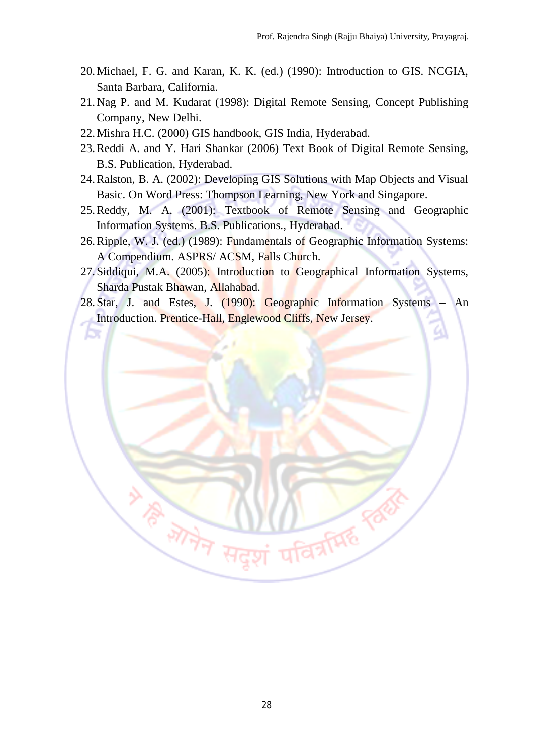- 20.Michael, F. G. and Karan, K. K. (ed.) (1990): Introduction to GIS. NCGIA, Santa Barbara, California.
- 21.Nag P. and M. Kudarat (1998): Digital Remote Sensing, Concept Publishing Company, New Delhi.
- 22.Mishra H.C. (2000) GIS handbook, GIS India, Hyderabad.

Æ,

- 23.Reddi A. and Y. Hari Shankar (2006) Text Book of Digital Remote Sensing, B.S. Publication, Hyderabad.
- 24.Ralston, B. A. (2002): Developing GIS Solutions with Map Objects and Visual Basic. On Word Press: Thompson Learning, New York and Singapore.
- 25.Reddy, M. A. (2001): Textbook of Remote Sensing and Geographic Information Systems. B.S. Publications., Hyderabad.
- 26.Ripple, W. J. (ed.) (1989): Fundamentals of Geographic Information Systems: A Compendium. ASPRS/ ACSM, Falls Church.
- 27. Siddiqui, M.A. (2005): Introduction to Geographical Information Systems, Sharda Pustak Bhawan, Allahabad.
- 28. Star, J. and Estes, J. (1990): Geographic Information Systems An Introduction. Prentice-Hall, Englewood Cliffs, New Jersey.

**ID A REAL PROPERTY** 

**WARRANTS**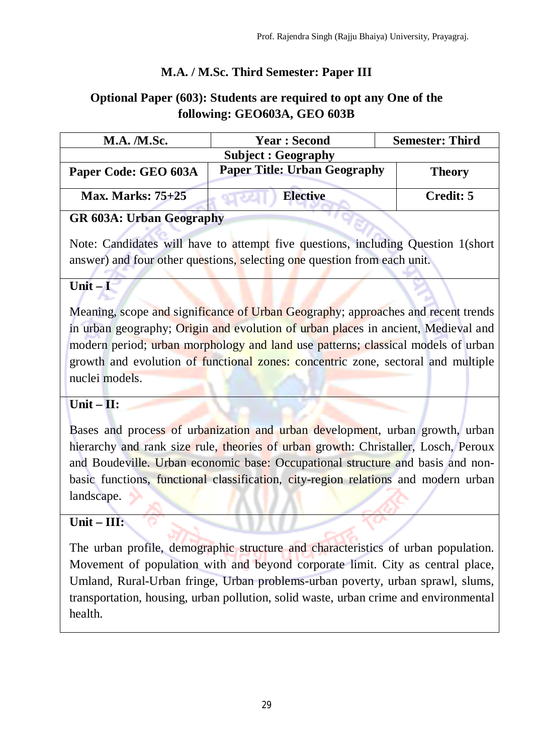# **M.A. / M.Sc. Third Semester: Paper III**

# **Optional Paper (603): Students are required to opt any One of the following: GEO603A, GEO 603B**

| <b>M.A. /M.Sc.</b>         | <b>Year: Second</b>                 | <b>Semester: Third</b> |
|----------------------------|-------------------------------------|------------------------|
| <b>Subject : Geography</b> |                                     |                        |
| Paper Code: GEO 603A       | <b>Paper Title: Urban Geography</b> | <b>Theory</b>          |
| <b>Max. Marks: 75+25</b>   | <b>Elective</b>                     | Credit: 5              |

# **GR 603A: Urban Geography**

Note: Candidates will have to attempt five questions, including Question 1(short answer) and four other questions, selecting one question from each unit.

### **Unit – I**

Meaning, scope and significance of Urban Geography; approaches and recent trends in urban geography; Origin and evolution of urban places in ancient, Medieval and modern period; urban morphology and land use patterns; classical models of urban growth and evolution of functional zones: concentric zone, sectoral and multiple nuclei models.

### **Unit – II:**

Bases and process of urbanization and urban development, urban growth, urban hierarchy and rank size rule, theories of urban growth: Christaller, Losch, Peroux and Boudeville. Urban economic base: Occupational structure and basis and nonbasic functions, functional classification, city-region relations and modern urban landscape.

### **Unit – III:**

The urban profile, demographic structure and characteristics of urban population. Movement of population with and beyond corporate limit. City as central place, Umland, Rural-Urban fringe, Urban problems-urban poverty, urban sprawl, slums, transportation, housing, urban pollution, solid waste, urban crime and environmental health.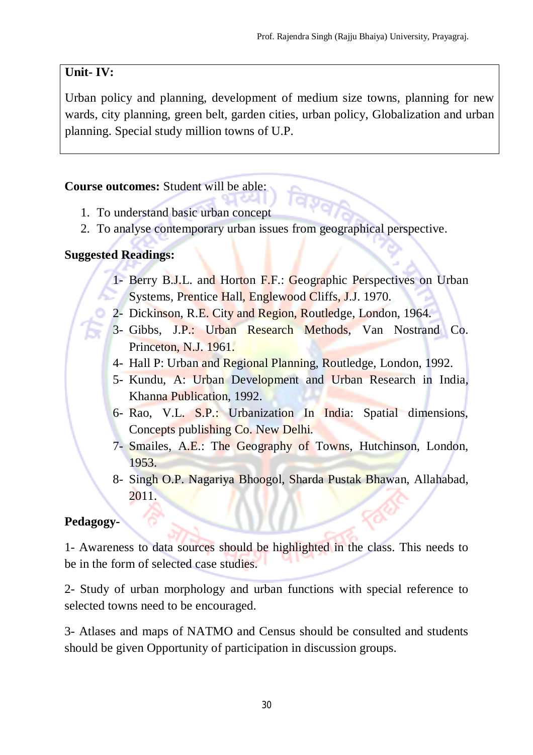# **Unit- IV:**

Urban policy and planning, development of medium size towns, planning for new wards, city planning, green belt, garden cities, urban policy, Globalization and urban planning. Special study million towns of U.P.

### **Course outcomes:** Student will be able:

- 1. To understand basic urban concept
- 2. To analyse contemporary urban issues from geographical perspective.

### **Suggested Readings:**

- 1- Berry B.J.L. and Horton F.F.: Geographic Perspectives on Urban Systems, Prentice Hall, Englewood Cliffs, J.J. 1970.
- 2- Dickinson, R.E. City and Region, Routledge, London, 1964.
- 3- Gibbs, J.P.: Urban Research Methods, Van Nostrand Co. Princeton, N.J. 1961.
- 4- Hall P: Urban and Regional Planning, Routledge, London, 1992.
- 5- Kundu, A: Urban Development and Urban Research in India, Khanna Publication, 1992.
- 6- Rao, V.L. S.P.: Urbanization In India: Spatial dimensions, Concepts publishing Co. New Delhi.
- 7- Smailes, A.E.: The Geography of Towns, Hutchinson, London, 1953.
- 8- Singh O.P. Nagariya Bhoogol, Sharda Pustak Bhawan, Allahabad, 2011.

# **Pedagogy-**

1- Awareness to data sources should be highlighted in the class. This needs to be in the form of selected case studies.

2- Study of urban morphology and urban functions with special reference to selected towns need to be encouraged.

3- Atlases and maps of NATMO and Census should be consulted and students should be given Opportunity of participation in discussion groups.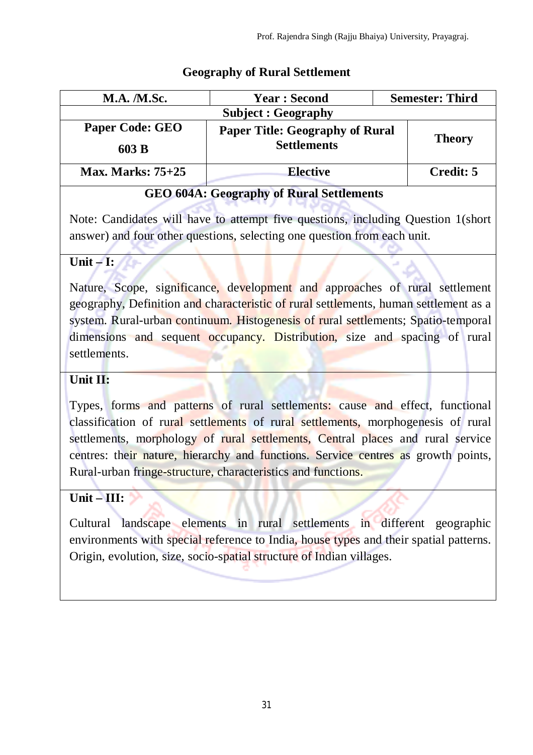### **Geography of Rural Settlement**

| <b>M.A. /M.Sc.</b>              | <b>Year: Second</b>                                          | <b>Semester: Third</b> |
|---------------------------------|--------------------------------------------------------------|------------------------|
| <b>Subject : Geography</b>      |                                                              |                        |
| <b>Paper Code: GEO</b><br>603 B | <b>Paper Title: Geography of Rural</b><br><b>Settlements</b> | <b>Theory</b>          |
| <b>Max. Marks: 75+25</b>        | <b>Elective</b>                                              | Credit: 5              |

# **GEO 604A: Geography of Rural Settlements**

Note: Candidates will have to attempt five questions, including Question 1(short answer) and four other questions, selecting one question from each unit.

### $\text{Unit} - \text{I}:$

Nature, Scope, significance, development and approaches of rural settlement geography, Definition and characteristic of rural settlements, human settlement as a system. Rural-urban continuum. Histogenesis of rural settlements; Spatio-temporal dimensions and sequent occupancy. Distribution, size and spacing of rural settlements.

### **Unit II:**

Types, forms and patterns of rural settlements: cause and effect, functional classification of rural settlements of rural settlements, morphogenesis of rural settlements, morphology of rural settlements, Central places and rural service centres: their nature, hierarchy and functions. Service centres as growth points, Rural-urban fringe-structure, characteristics and functions.

# $Unit - III:$

Cultural landscape elements in rural settlements in different geographic environments with special reference to India, house types and their spatial patterns. Origin, evolution, size, socio-spatial structure of Indian villages.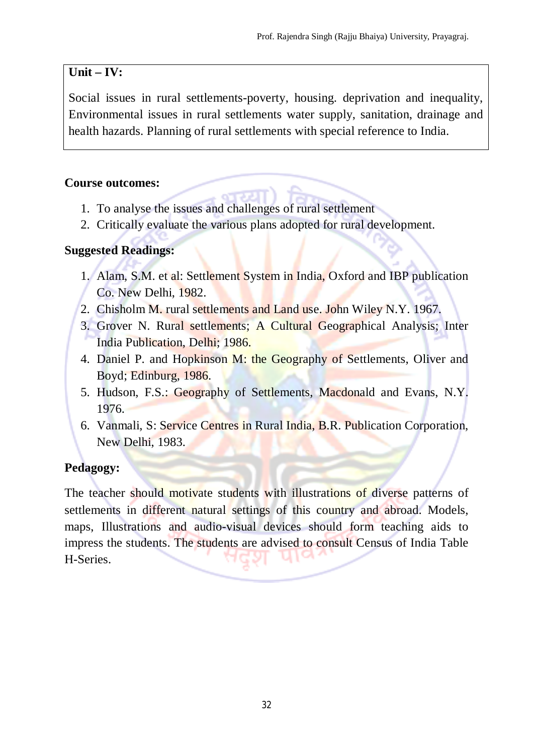# **Unit – IV:**

Social issues in rural settlements-poverty, housing. deprivation and inequality, Environmental issues in rural settlements water supply, sanitation, drainage and health hazards. Planning of rural settlements with special reference to India.

### **Course outcomes:**

- 1. To analyse the issues and challenges of rural settlement
- 2. Critically evaluate the various plans adopted for rural development.

### **Suggested Readings:**

- 1. Alam, S.M. et al: Settlement System in India, Oxford and IBP publication Co. New Delhi, 1982.
- 2. Chisholm M. rural settlements and Land use. John Wiley N.Y. 1967.
- 3. Grover N. Rural settlements; A Cultural Geographical Analysis; Inter India Publication, Delhi; 1986.
- 4. Daniel P. and Hopkinson M: the Geography of Settlements, Oliver and Boyd; Edinburg, 1986.
- 5. Hudson, F.S.: Geography of Settlements, Macdonald and Evans, N.Y. 1976.
- 6. Vanmali, S: Service Centres in Rural India, B.R. Publication Corporation, New Delhi, 1983.

# **Pedagogy:**

The teacher should motivate students with illustrations of diverse patterns of settlements in different natural settings of this country and abroad. Models, maps, Illustrations and audio-visual devices should form teaching aids to impress the students. The students are advised to consult Census of India Table H-Series.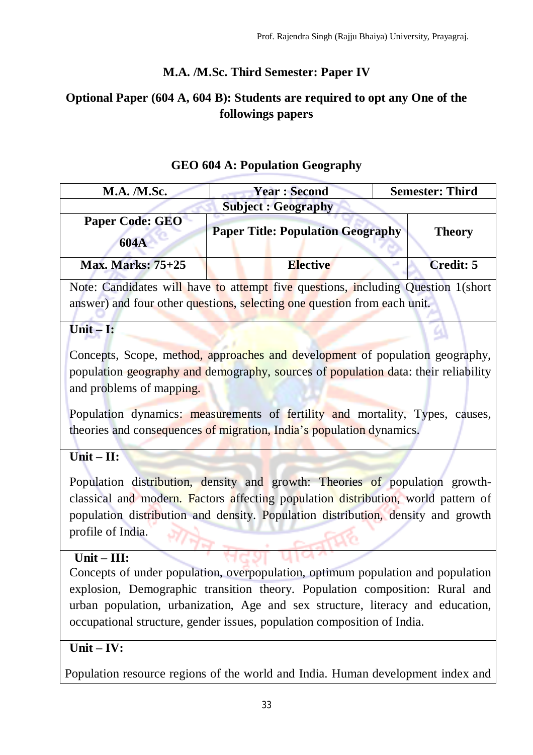# **M.A. /M.Sc. Third Semester: Paper IV**

# **Optional Paper (604 A, 604 B): Students are required to opt any One of the followings papers**

| M.A. /M.Sc.                                                                                                                                                                                                                                                                                                                 | <b>Year: Second</b>                                                                                                                                          | <b>Semester: Third</b> |
|-----------------------------------------------------------------------------------------------------------------------------------------------------------------------------------------------------------------------------------------------------------------------------------------------------------------------------|--------------------------------------------------------------------------------------------------------------------------------------------------------------|------------------------|
| <b>Subject : Geography</b>                                                                                                                                                                                                                                                                                                  |                                                                                                                                                              |                        |
| Paper Code: GEO<br>604A                                                                                                                                                                                                                                                                                                     | <b>Paper Title: Population Geography</b>                                                                                                                     | <b>Theory</b>          |
| <b>Max. Marks: 75+25</b>                                                                                                                                                                                                                                                                                                    | <b>Elective</b>                                                                                                                                              | <b>Credit: 5</b>       |
|                                                                                                                                                                                                                                                                                                                             | Note: Candidates will have to attempt five questions, including Question 1(short<br>answer) and four other questions, selecting one question from each unit. |                        |
| Unit $-$ I:                                                                                                                                                                                                                                                                                                                 |                                                                                                                                                              |                        |
| Concepts, Scope, method, approaches and development of population geography,<br>population geography and demography, sources of population data: their reliability<br>and problems of mapping.                                                                                                                              |                                                                                                                                                              |                        |
| Population dynamics: measurements of fertility and mortality, Types, causes,<br>theories and consequences of migration, India's population dynamics.                                                                                                                                                                        |                                                                                                                                                              |                        |
| $Unit - II:$                                                                                                                                                                                                                                                                                                                |                                                                                                                                                              |                        |
|                                                                                                                                                                                                                                                                                                                             | Population distribution, density and growth: Theories of population growth-                                                                                  |                        |
| classical and modern. Factors affecting population distribution, world pattern of<br>population distribution and density. Population distribution, density and growth                                                                                                                                                       |                                                                                                                                                              |                        |
| profile of India.                                                                                                                                                                                                                                                                                                           |                                                                                                                                                              |                        |
| Unit-III:                                                                                                                                                                                                                                                                                                                   |                                                                                                                                                              |                        |
| Concepts of under population, overpopulation, optimum population and population<br>explosion, Demographic transition theory. Population composition: Rural and<br>urban population, urbanization, Age and sex structure, literacy and education,<br>occupational structure, gender issues, population composition of India. |                                                                                                                                                              |                        |
| $Unit - IV:$                                                                                                                                                                                                                                                                                                                |                                                                                                                                                              |                        |
|                                                                                                                                                                                                                                                                                                                             | Population resource regions of the world and India. Human development index and                                                                              |                        |

### **GEO 604 A: Population Geography**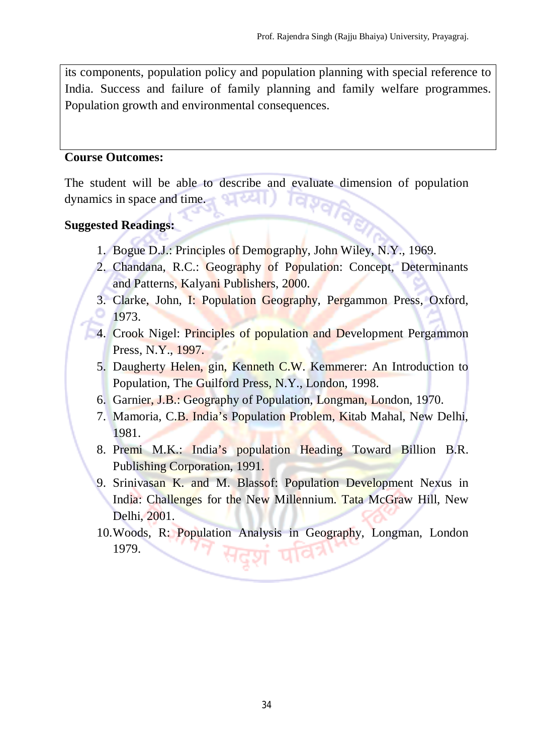its components, population policy and population planning with special reference to India. Success and failure of family planning and family welfare programmes. Population growth and environmental consequences.

#### **Course Outcomes:**

The student will be able to describe and evaluate dimension of population dynamics in space and time. res.

#### **Suggested Readings:**

- 1. Bogue D.J.: Principles of Demography, John Wiley, N.Y., 1969.
- 2. Chandana, R.C.: Geography of Population: Concept, Determinants and Patterns, Kalyani Publishers, 2000.
- 3. Clarke, John, I: Population Geography, Pergammon Press, Oxford, 1973.
- 4. Crook Nigel: Principles of population and Development Pergammon Press, N.Y., 1997.
- 5. Daugherty Helen, gin, Kenneth C.W. Kemmerer: An Introduction to Population, The Guilford Press, N.Y., London, 1998.
- 6. Garnier, J.B.: Geography of Population, Longman, London, 1970.
- 7. Mamoria, C.B. India's Population Problem, Kitab Mahal, New Delhi, 1981.
- 8. Premi M.K.: India's population Heading Toward Billion B.R. Publishing Corporation, 1991.
- 9. Srinivasan K. and M. Blassof: Population Development Nexus in India: Challenges for the New Millennium. Tata McGraw Hill, New Delhi, 2001.
- 10.Woods, R: Population Analysis in Geography, Longman, London 1979.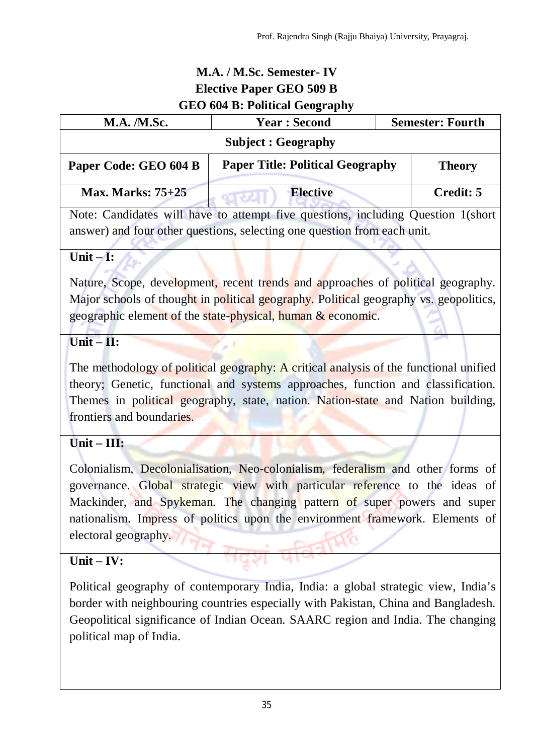# **M.A. / M.Sc. Semester- IV Elective Paper GEO 509 B GEO 604 B: Political Geography**

| <b>M.A.</b> / <b>M.Sc.</b>                                                       | <b>Year: Second</b>                     | <b>Semester: Fourth</b> |
|----------------------------------------------------------------------------------|-----------------------------------------|-------------------------|
|                                                                                  | <b>Subject : Geography</b>              |                         |
| Paper Code: GEO 604 B                                                            | <b>Paper Title: Political Geography</b> | <b>Theory</b>           |
| <b>Max. Marks: 75+25</b>                                                         | <b>Elective</b><br><b>OURSEL</b>        | Credit: 5               |
| Note: Candidates will have to attempt five questions, including Question 1(short |                                         |                         |
| answer) and four other questions, selecting one question from each unit.         |                                         |                         |

# **Unit – I:**

Nature, Scope, development, recent trends and approaches of political geography. Major schools of thought in political geography. Political geography vs. geopolitics, geographic element of the state-physical, human & economic.

# **Unit – II:**

The methodology of political geography: A critical analysis of the functional unified theory; Genetic, functional and systems approaches, function and classification. Themes in political geography, state, nation. Nation-state and Nation building, frontiers and boundaries.

# **Unit – III:**

Colonialism, Decolonialisation, Neo-colonialism, federalism and other forms of governance. Global strategic view with particular reference to the ideas of Mackinder, and Spykeman. The changing pattern of super powers and super nationalism. Impress of politics upon the environment framework. Elements of electoral geography.

# **Unit – IV:**

Political geography of contemporary India, India: a global strategic view, India's border with neighbouring countries especially with Pakistan, China and Bangladesh. Geopolitical significance of Indian Ocean. SAARC region and India. The changing political map of India.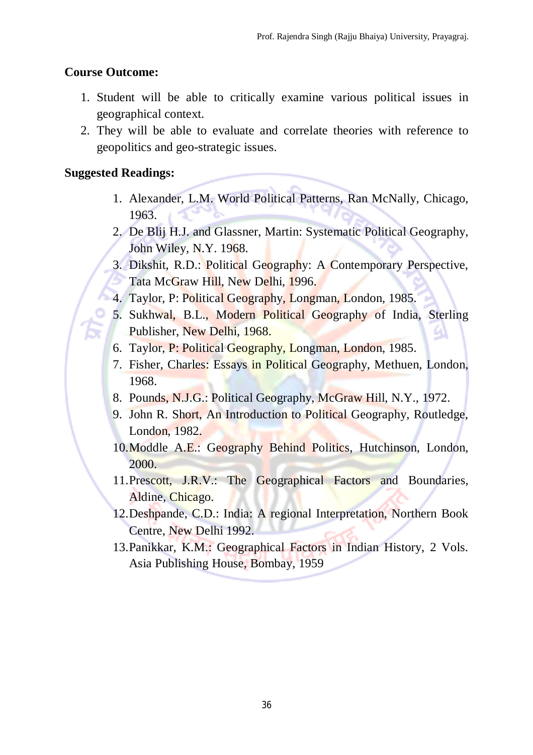### **Course Outcome:**

- 1. Student will be able to critically examine various political issues in geographical context.
- 2. They will be able to evaluate and correlate theories with reference to geopolitics and geo-strategic issues.

### **Suggested Readings:**

- 1. Alexander, L.M. World Political Patterns, Ran McNally, Chicago, 1963.
- 2. De Blij H.J. and Glassner, Martin: Systematic Political Geography, John Wiley, N.Y. 1968.
- 3. Dikshit, R.D.: Political Geography: A Contemporary Perspective, Tata McGraw Hill, New Delhi, 1996.
- 4. Taylor, P: Political Geography, Longman, London, 1985.
- 5. Sukhwal, B.L., Modern Political Geography of India, Sterling Publisher, New Delhi, 1968. 67
- 6. Taylor, P: Political Geography, Longman, London, 1985.
- 7. Fisher, Charles: Essays in Political Geography, Methuen, London, 1968.
- 8. Pounds, N.J.G.: Political Geography, McGraw Hill, N.Y., 1972.
- 9. John R. Short, An Introduction to Political Geography, Routledge, London, 1982.
- 10.Moddle A.E.: Geography Behind Politics, Hutchinson, London, 2000.
- 11. Prescott, J.R.V.: The Geographical Factors and Boundaries, Aldine, Chicago.
- 12.Deshpande, C.D.: India: A regional Interpretation, Northern Book Centre, New Delhi 1992.
- 13.Panikkar, K.M.: Geographical Factors in Indian History, 2 Vols. Asia Publishing House, Bombay, 1959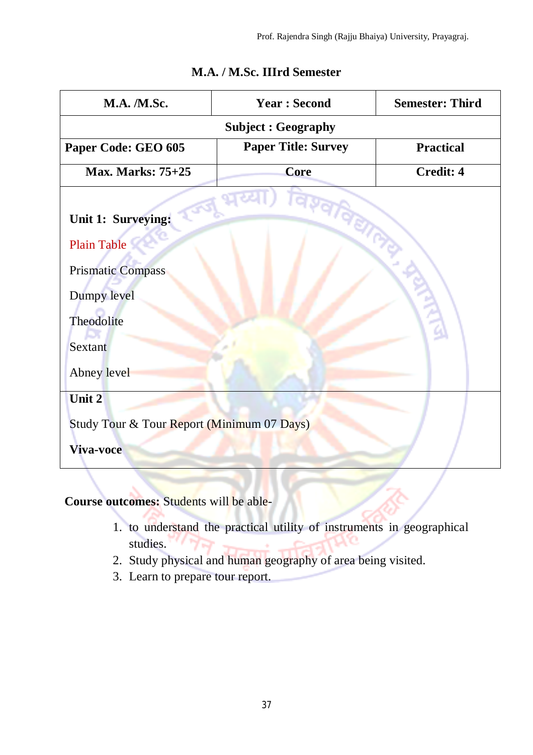| <b>M.A. /M.Sc.</b>                                                   | <b>Year: Second</b>        | <b>Semester: Third</b> |  |
|----------------------------------------------------------------------|----------------------------|------------------------|--|
| <b>Subject: Geography</b>                                            |                            |                        |  |
| Paper Code: GEO 605                                                  | <b>Paper Title: Survey</b> | <b>Practical</b>       |  |
| <b>Max. Marks: 75+25</b>                                             | <b>Core</b>                | <b>Credit: 4</b>       |  |
| Unit 1: Surveying:<br><b>Plain Table</b><br><b>Prismatic Compass</b> |                            |                        |  |
| Dumpy level<br>Theodolite<br>Sextant<br>Abney level                  |                            |                        |  |
| Unit 2<br>Study Tour & Tour Report (Minimum 07 Days)<br>Viva-voce    |                            |                        |  |

# **M.A. / M.Sc. IIIrd Semester**

**Course outcomes:** Students will be able-

- 1. to understand the practical utility of instruments in geographical studies.
- 2. Study physical and human geography of area being visited.
- 3. Learn to prepare tour report.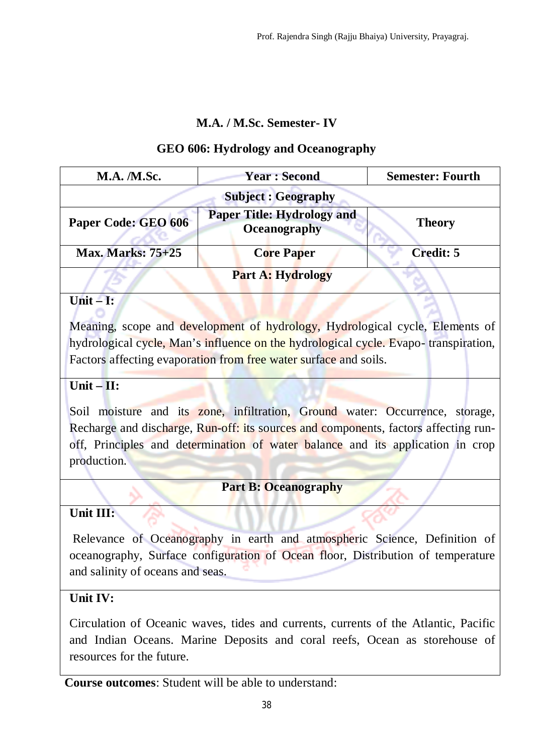### **M.A. / M.Sc. Semester- IV**

### **GEO 606: Hydrology and Oceanography**

| <b>M.A.</b> / <b>M.Sc.</b> | <b>Year: Second</b>                               | <b>Semester: Fourth</b> |
|----------------------------|---------------------------------------------------|-------------------------|
| <b>Subject: Geography</b>  |                                                   |                         |
| Paper Code: GEO 606        | <b>Paper Title: Hydrology and</b><br>Oceanography | <b>Theory</b>           |
| <b>Max. Marks: 75+25</b>   | <b>Core Paper</b>                                 | <b>Credit: 5</b>        |
|                            | <b>Part A: Hydrology</b>                          |                         |
| $\Box$ nif $\Box$          |                                                   |                         |

### **Unit – I:**

Meaning, scope and development of hydrology, Hydrological cycle, Elements of hydrological cycle, Man's influence on the hydrological cycle. Evapo- transpiration, Factors affecting evaporation from free water surface and soils.

### **Unit – II:**

Soil moisture and its zone, infiltration, Ground water: Occurrence, storage, Recharge and discharge, Run-off: its sources and components, factors affecting runoff, Principles and determination of water balance and its application in crop production.

# **Part B: Oceanography**

### **Unit III:**

Relevance of Oceanography in earth and atmospheric Science, Definition of oceanography, Surface configuration of Ocean floor, Distribution of temperature and salinity of oceans and seas.

# **Unit IV:**

Circulation of Oceanic waves, tides and currents, currents of the Atlantic, Pacific and Indian Oceans. Marine Deposits and coral reefs, Ocean as storehouse of resources for the future.

**Course outcomes**: Student will be able to understand: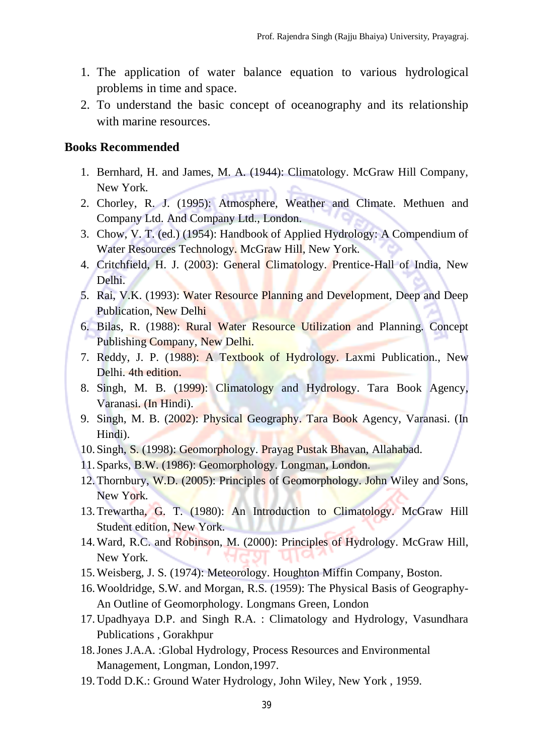- 1. The application of water balance equation to various hydrological problems in time and space.
- 2. To understand the basic concept of oceanography and its relationship with marine resources.

#### **Books Recommended**

- 1. Bernhard, H. and James, M. A. (1944): Climatology. McGraw Hill Company, New York.
- 2. Chorley, R. J. (1995): Atmosphere, Weather and Climate. Methuen and Company Ltd. And Company Ltd., London.
- 3. Chow, V. T. (ed.) (1954): Handbook of Applied Hydrology: A Compendium of Water Resources Technology. McGraw Hill, New York.
- 4. Critchfield, H. J. (2003): General Climatology. Prentice-Hall of India, New Delhi.
- 5. Rai, V.K. (1993): Water Resource Planning and Development, Deep and Deep Publication, New Delhi
- 6. Bilas, R. (1988): Rural Water Resource Utilization and Planning. Concept Publishing Company, New Delhi.
- 7. Reddy, J. P. (1988): A Textbook of Hydrology. Laxmi Publication., New Delhi. 4th edition.
- 8. Singh, M. B. (1999): Climatology and Hydrology. Tara Book Agency, Varanasi. (In Hindi).
- 9. Singh, M. B. (2002): Physical Geography. Tara Book Agency, Varanasi. (In Hindi).
- 10. Singh, S. (1998): Geomorphology. Prayag Pustak Bhavan, Allahabad.
- 11. Sparks, B.W. (1986): Geomorphology. Longman, London.
- 12.Thornbury, W.D. (2005): Principles of Geomorphology. John Wiley and Sons, New York.
- 13.Trewartha, G. T. (1980): An Introduction to Climatology. McGraw Hill Student edition, New York.
- 14.Ward, R.C. and Robinson, M. (2000): Principles of Hydrology. McGraw Hill, New York.
- 15.Weisberg, J. S. (1974): Meteorology. Houghton Miffin Company, Boston.
- 16.Wooldridge, S.W. and Morgan, R.S. (1959): The Physical Basis of Geography-An Outline of Geomorphology. Longmans Green, London
- 17.Upadhyaya D.P. and Singh R.A. : Climatology and Hydrology, Vasundhara Publications , Gorakhpur
- 18.Jones J.A.A. :Global Hydrology, Process Resources and Environmental Management, Longman, London,1997.
- 19.Todd D.K.: Ground Water Hydrology, John Wiley, New York , 1959.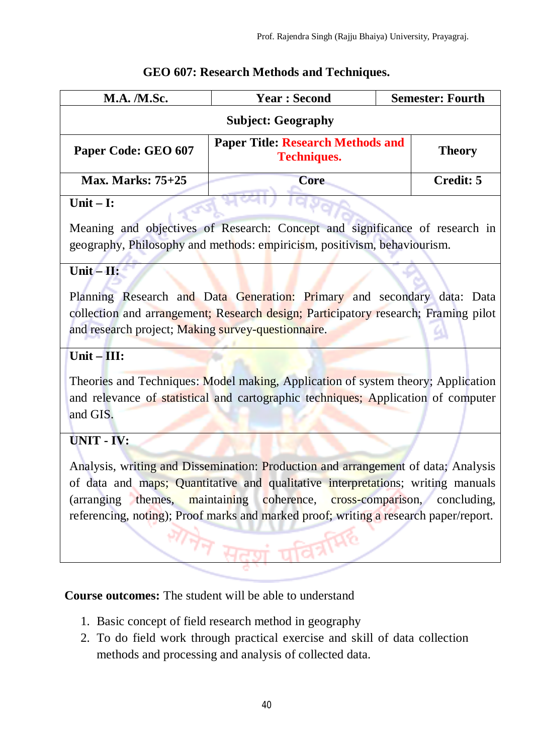### **GEO 607: Research Methods and Techniques.**

 $\Gamma$ 

| <b>M.A. /M.Sc.</b>                                                                                                                                                                                                                                                                                                                            | <b>Year: Second</b>                                            | <b>Semester: Fourth</b> |  |
|-----------------------------------------------------------------------------------------------------------------------------------------------------------------------------------------------------------------------------------------------------------------------------------------------------------------------------------------------|----------------------------------------------------------------|-------------------------|--|
| <b>Subject: Geography</b>                                                                                                                                                                                                                                                                                                                     |                                                                |                         |  |
| Paper Code: GEO 607                                                                                                                                                                                                                                                                                                                           | <b>Paper Title: Research Methods and</b><br><b>Techniques.</b> | <b>Theory</b>           |  |
| <b>Max. Marks: 75+25</b>                                                                                                                                                                                                                                                                                                                      | Core                                                           | <b>Credit: 5</b>        |  |
| Unit $- I$ :                                                                                                                                                                                                                                                                                                                                  |                                                                |                         |  |
| Meaning and objectives of Research: Concept and significance of research in<br>geography, Philosophy and methods: empiricism, positivism, behaviourism.                                                                                                                                                                                       |                                                                |                         |  |
| Unit $-$ H:                                                                                                                                                                                                                                                                                                                                   |                                                                |                         |  |
| Planning Research and Data Generation: Primary and secondary data: Data<br>collection and arrangement; Research design; Participatory research; Framing pilot<br>and research project; Making survey-questionnaire.                                                                                                                           |                                                                |                         |  |
| Unit $-III$ :                                                                                                                                                                                                                                                                                                                                 |                                                                |                         |  |
| Theories and Techniques: Model making, Application of system theory; Application<br>and relevance of statistical and cartographic techniques; Application of computer<br>and GIS.                                                                                                                                                             |                                                                |                         |  |
| UNIT - IV:                                                                                                                                                                                                                                                                                                                                    |                                                                |                         |  |
| Analysis, writing and Dissemination: Production and arrangement of data; Analysis<br>of data and maps; Quantitative and qualitative interpretations; writing manuals<br>(arranging themes,<br>maintaining<br>coherence, cross-comparison, concluding,<br>referencing, noting); Proof marks and marked proof; writing a research paper/report. |                                                                |                         |  |
| <b>Course outcomes:</b> The student will be able to understand                                                                                                                                                                                                                                                                                |                                                                |                         |  |

- 1. Basic concept of field research method in geography
- 2. To do field work through practical exercise and skill of data collection methods and processing and analysis of collected data.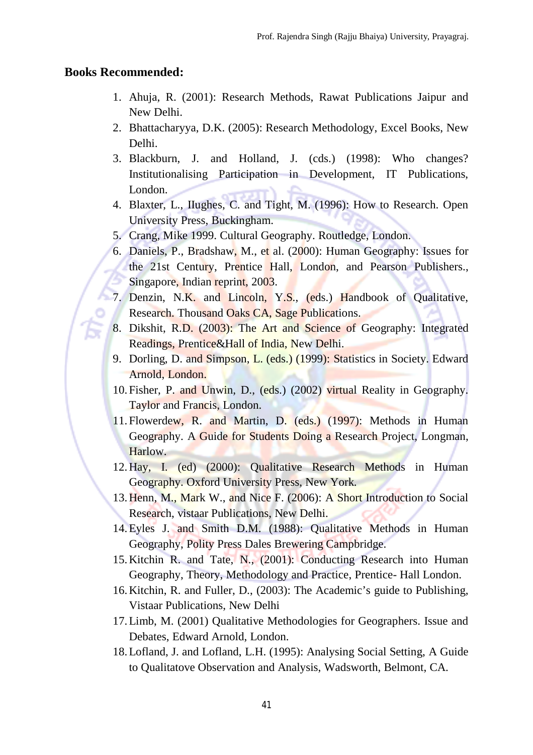#### **Books Recommended:**

- 1. Ahuja, R. (2001): Research Methods, Rawat Publications Jaipur and New Delhi.
- 2. Bhattacharyya, D.K. (2005): Research Methodology, Excel Books, New Delhi.
- 3. Blackburn, J. and Holland, J. (cds.) (1998): Who changes? Institutionalising Participation in Development, IT Publications, London.
- 4. Blaxter, L., IIughes, C. and Tight, M. (1996): How to Research. Open University Press, Buckingham.
- 5. Crang, Mike 1999. Cultural Geography. Routledge, London.
- 6. Daniels, P., Bradshaw, M., et al. (2000): Human Geography: Issues for the 21st Century, Prentice Hall, London, and Pearson Publishers., Singapore, Indian reprint, 2003.
- 7. Denzin, N.K. and Lincoln, Y.S., (eds.) Handbook of Qualitative, Research. Thousand Oaks CA, Sage Publications.
- 8. Dikshit, R.D. (2003): The Art and Science of Geography: Integrated Readings, Prentice&Hall of India, New Delhi.
- 9. Dorling, D. and Simpson, L. (eds.) (1999): Statistics in Society. Edward Arnold, London.
- 10. Fisher, P. and Unwin, D., (eds.) (2002) virtual Reality in Geography. Taylor and Francis, London.
- 11. Flowerdew, R. and Martin, D. (eds.) (1997): Methods in Human Geography. A Guide for Students Doing a Research Project, Longman, Harlow.
- 12.Hay, I. (ed) (2000): Qualitative Research Methods in Human Geography. Oxford University Press, New York.
- 13.Henn, M., Mark W., and Nice F. (2006): A Short Introduction to Social Research, vistaar Publications, New Delhi.
- 14.Eyles J. and Smith D.M. (1988): Qualitative Methods in Human Geography, Polity Press Dales Brewering Campbridge.
- 15.Kitchin R. and Tate, N., (2001): Conducting Research into Human Geography, Theory, Methodology and Practice, Prentice- Hall London.
- 16.Kitchin, R. and Fuller, D., (2003): The Academic's guide to Publishing, Vistaar Publications, New Delhi
- 17.Limb, M. (2001) Qualitative Methodologies for Geographers. Issue and Debates, Edward Arnold, London.
- 18.Lofland, J. and Lofland, L.H. (1995): Analysing Social Setting, A Guide to Qualitatove Observation and Analysis, Wadsworth, Belmont, CA.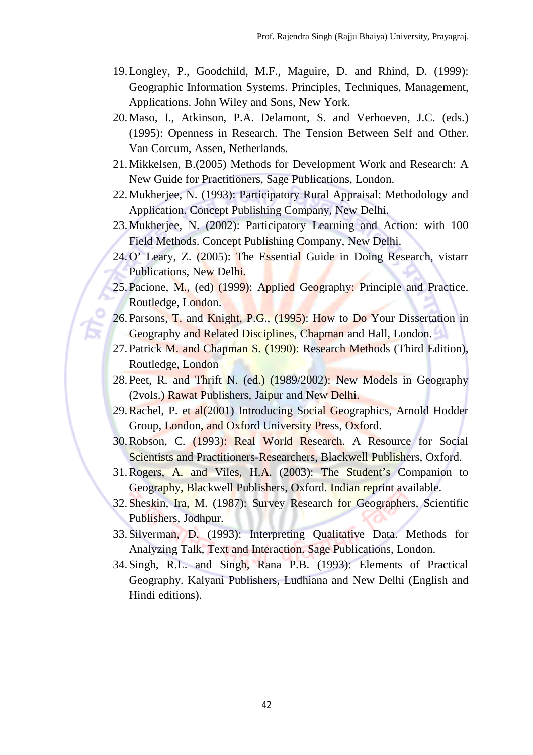- 19.Longley, P., Goodchild, M.F., Maguire, D. and Rhind, D. (1999): Geographic Information Systems. Principles, Techniques, Management, Applications. John Wiley and Sons, New York.
- 20.Maso, I., Atkinson, P.A. Delamont, S. and Verhoeven, J.C. (eds.) (1995): Openness in Research. The Tension Between Self and Other. Van Corcum, Assen, Netherlands.
- 21.Mikkelsen, B.(2005) Methods for Development Work and Research: A New Guide for Practitioners, Sage Publications, London.
- 22.Mukherjee, N. (1993): Participatory Rural Appraisal: Methodology and Application. Concept Publishing Company, New Delhi.
- 23.Mukherjee, N. (2002): Participatory Learning and Action: with 100 Field Methods. Concept Publishing Company, New Delhi.
- 24.O' Leary, Z. (2005): The Essential Guide in Doing Research, vistarr Publications, New Delhi.
- 25. Pacione, M., (ed) (1999): Applied Geography: Principle and Practice. Routledge, London.
- 26. Parsons, T. and Knight, P.G., (1995): How to Do Your Dissertation in Geography and Related Disciplines, Chapman and Hall, London.
- 27. Patrick M. and Chapman S. (1990): Research Methods (Third Edition), Routledge, London
- 28. Peet, R. and Thrift N. (ed.) (1989/2002): New Models in Geography (2vols.) Rawat Publishers, Jaipur and New Delhi.
- 29.Rachel, P. et al(2001) Introducing Social Geographics, Arnold Hodder Group, London, and Oxford University Press, Oxford.
- 30.Robson, C. (1993): Real World Research. A Resource for Social Scientists and Practitioners-Researchers, Blackwell Publishers, Oxford.
- 31.Rogers, A. and Viles, H.A. (2003): The Student's Companion to Geography, Blackwell Publishers, Oxford. Indian reprint available.
- 32. Sheskin, Ira, M. (1987): Survey Research for Geographers, Scientific Publishers, Jodhpur.
- 33. Silverman, D. (1993): Interpreting Qualitative Data. Methods for Analyzing Talk, Text and Interaction. Sage Publications, London.
- 34. Singh, R.L. and Singh, Rana P.B. (1993): Elements of Practical Geography. Kalyani Publishers, Ludhiana and New Delhi (English and Hindi editions).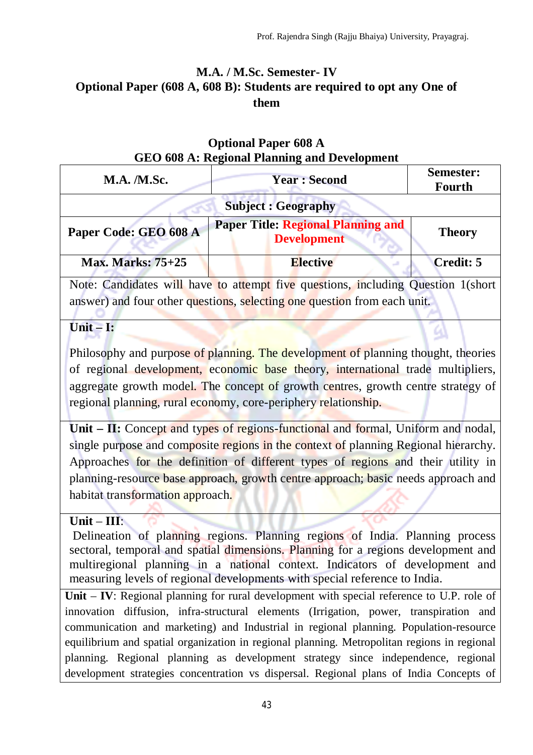# **M.A. / M.Sc. Semester- IV Optional Paper (608 A, 608 B): Students are required to opt any One of them**

### **Optional Paper 608 A GEO 608 A: Regional Planning and Development**

| <b>M.A. /M.Sc.</b>                                                               | <b>Year: Second</b>                                             | Semester:<br>Fourth |
|----------------------------------------------------------------------------------|-----------------------------------------------------------------|---------------------|
| <b>Subject : Geography</b>                                                       |                                                                 |                     |
| Paper Code: GEO 608 A                                                            | <b>Paper Title: Regional Planning and</b><br><b>Development</b> | <b>Theory</b>       |
| <b>Max. Marks: 75+25</b>                                                         | <b>Elective</b>                                                 | <b>Credit: 5</b>    |
| Note: Candidates will have to attempt five questions, including Question 1(short |                                                                 |                     |

nave to attempt five questions, answer) and four other questions, selecting one question from each unit.

# **Unit – I:**

Philosophy and purpose of planning. The development of planning thought, theories of regional development, economic base theory, international trade multipliers, aggregate growth model. The concept of growth centres, growth centre strategy of regional planning, rural economy, core-periphery relationship.

**Unit – II:** Concept and types of regions-functional and formal, Uniform and nodal, single purpose and composite regions in the context of planning Regional hierarchy. Approaches for the definition of different types of regions and their utility in planning-resource base approach, growth centre approach; basic needs approach and habitat transformation approach.

# **Unit** – **III**:

Delineation of planning regions. Planning regions of India. Planning process sectoral, temporal and spatial dimensions. Planning for a regions development and multiregional planning in a national context. Indicators of development and measuring levels of regional developments with special reference to India.

**Unit** – **IV**: Regional planning for rural development with special reference to U.P. role of innovation diffusion, infra-structural elements (Irrigation, power, transpiration and communication and marketing) and Industrial in regional planning. Population-resource equilibrium and spatial organization in regional planning. Metropolitan regions in regional planning. Regional planning as development strategy since independence, regional development strategies concentration vs dispersal. Regional plans of India Concepts of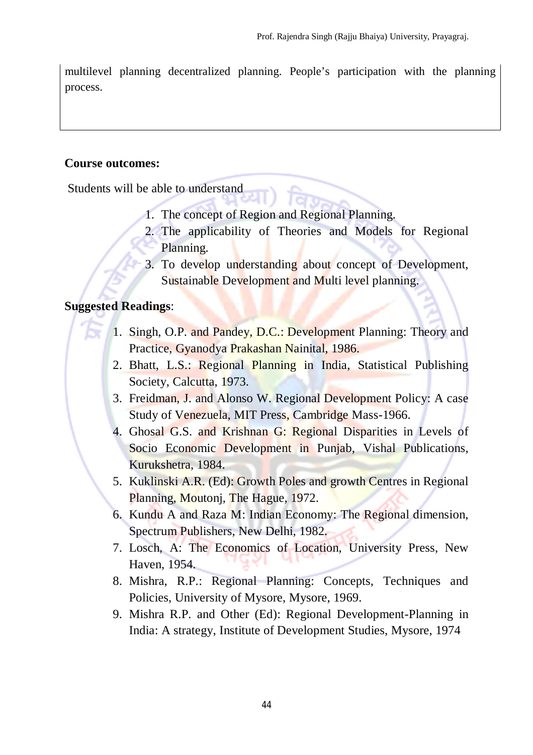multilevel planning decentralized planning. People's participation with the planning process.

#### **Course outcomes:**

Students will be able to understand

- 1. The concept of Region and Regional Planning.
- 2. The applicability of Theories and Models for Regional Planning.
- 3. To develop understanding about concept of Development, Sustainable Development and Multi level planning.

### **Suggested Readings**:

- 1. Singh, O.P. and Pandey, D.C.: Development Planning: Theory and Practice, Gyanodya Prakashan Nainital, 1986.
- 2. Bhatt, L.S.: Regional Planning in India, Statistical Publishing Society, Calcutta, 1973.
- 3. Freidman, J. and Alonso W. Regional Development Policy: A case Study of Venezuela, MIT Press, Cambridge Mass-1966.
- 4. Ghosal G.S. and Krishnan G: Regional Disparities in Levels of Socio Economic Development in Punjab, Vishal Publications, Kurukshetra, 1984.
- 5. Kuklinski A.R. (Ed): Growth Poles and growth Centres in Regional Planning, Moutonj, The Hague, 1972.
- 6. Kundu A and Raza M: Indian Economy: The Regional dimension, Spectrum Publishers, New Delhi, 1982.
- 7. Losch, A: The Economics of Location, University Press, New Haven, 1954.
- 8. Mishra, R.P.: Regional Planning: Concepts, Techniques and Policies, University of Mysore, Mysore, 1969.
- 9. Mishra R.P. and Other (Ed): Regional Development-Planning in India: A strategy, Institute of Development Studies, Mysore, 1974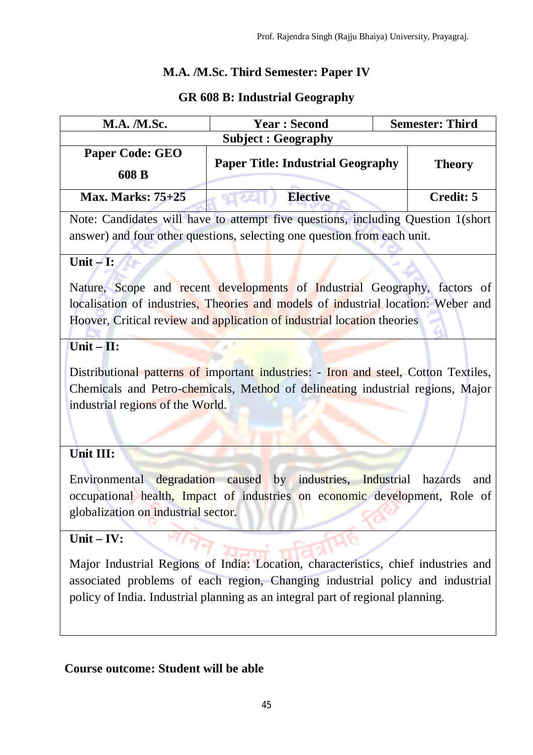# **M.A. /M.Sc. Third Semester: Paper IV**

### **GR 608 B: Industrial Geography**

| <b>M.A.</b> / <b>M.Sc.</b>                                                          | <b>Year: Second</b>                                                               | <b>Semester: Third</b> |  |
|-------------------------------------------------------------------------------------|-----------------------------------------------------------------------------------|------------------------|--|
| <b>Subject: Geography</b>                                                           |                                                                                   |                        |  |
| <b>Paper Code: GEO</b><br>608 B                                                     | <b>Paper Title: Industrial Geography</b>                                          | <b>Theory</b>          |  |
| <b>Max. Marks: 75+25</b>                                                            | <b>Elective</b>                                                                   | <b>Credit: 5</b>       |  |
|                                                                                     | Note: Candidates will have to attempt five questions, including Question 1(short  |                        |  |
| answer) and four other questions, selecting one question from each unit.            |                                                                                   |                        |  |
| Unit $-I$ :                                                                         |                                                                                   |                        |  |
|                                                                                     | Nature, Scope and recent developments of Industrial Geography, factors of         |                        |  |
|                                                                                     | localisation of industries, Theories and models of industrial location: Weber and |                        |  |
| Hoover, Critical review and application of industrial location theories             |                                                                                   |                        |  |
| Unit $-$ II:                                                                        |                                                                                   |                        |  |
| Distributional patterns of important industries: - Iron and steel, Cotton Textiles, |                                                                                   |                        |  |
| Chemicals and Petro-chemicals, Method of delineating industrial regions, Major      |                                                                                   |                        |  |
| industrial regions of the World.                                                    |                                                                                   |                        |  |
|                                                                                     |                                                                                   |                        |  |
| Unit III:                                                                           |                                                                                   |                        |  |
|                                                                                     | Environmental degradation caused by industries, Industrial                        | hazards<br>and         |  |
| occupational health, Impact of industries on economic development, Role of          |                                                                                   |                        |  |
| globalization on industrial sector.                                                 |                                                                                   |                        |  |
|                                                                                     |                                                                                   |                        |  |

# **Unit – IV:**

Major Industrial Regions of India: Location, characteristics, chief industries and associated problems of each region, Changing industrial policy and industrial policy of India. Industrial planning as an integral part of regional planning.

o.

### **Course outcome: Student will be able**

ω,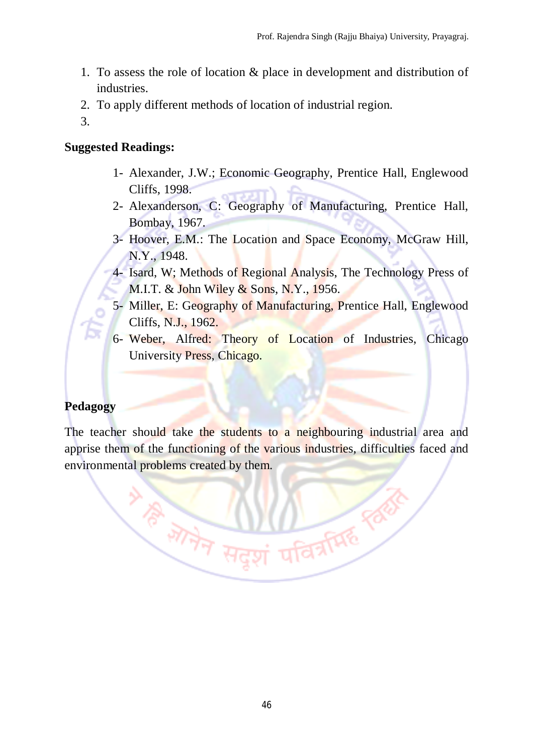- 1. To assess the role of location & place in development and distribution of industries.
- 2. To apply different methods of location of industrial region.
- 3.

#### **Suggested Readings:**

- 1- Alexander, J.W.; Economic Geography, Prentice Hall, Englewood Cliffs, 1998.
- 2- Alexanderson, C: Geography of Manufacturing, Prentice Hall, Bombay, 1967.
- 3- Hoover, E.M.: The Location and Space Economy, McGraw Hill, N.Y., 1948.
- 4- Isard, W; Methods of Regional Analysis, The Technology Press of M.I.T. & John Wiley & Sons, N.Y., 1956.
- 5- Miller, E: Geography of Manufacturing, Prentice Hall, Englewood Cliffs, N.J., 1962.
- 6- Weber, Alfred: Theory of Location of Industries, Chicago University Press, Chicago.

**DARATHE ROOM** 

# **Pedagogy**

The teacher should take the students to a neighbouring industrial area and apprise them of the functioning of the various industries, difficulties faced and environmental problems created by them.

**VI PERFERRENT**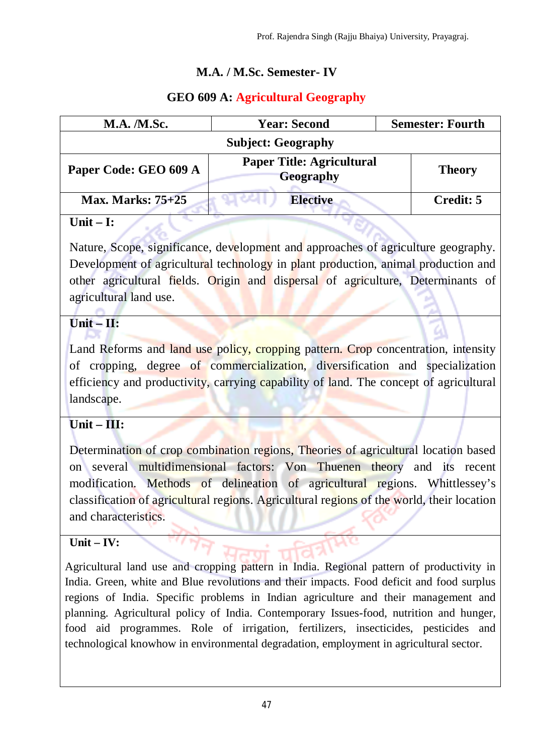# **M.A. / M.Sc. Semester- IV**

# **GEO 609 A: Agricultural Geography**

| <b>M.A.</b> <i>M.Sc.</i>  | <b>Year: Second</b>                                  | <b>Semester: Fourth</b> |
|---------------------------|------------------------------------------------------|-------------------------|
| <b>Subject: Geography</b> |                                                      |                         |
| Paper Code: GEO 609 A     | <b>Paper Title: Agricultural</b><br><b>Geography</b> | <b>Theory</b>           |
| <b>Max. Marks: 75+25</b>  | <b>Elective</b>                                      | Credit: 5               |

### **Unit – I:**

Nature, Scope, significance, development and approaches of agriculture geography. Development of agricultural technology in plant production, animal production and other agricultural fields. Origin and dispersal of agriculture, Determinants of agricultural land use.

# **Unit – II:**

Land Reforms and land use policy, cropping pattern. Crop concentration, intensity of cropping, degree of commercialization, diversification and specialization efficiency and productivity, carrying capability of land. The concept of agricultural landscape.

# **Unit – III:**

Determination of crop combination regions, Theories of agricultural location based on several multidimensional factors: Von Thuenen theory and its recent modification. Methods of delineation of agricultural regions. Whittlessey's classification of agricultural regions. Agricultural regions of the world, their location and characteristics.

# **Unit – IV:**

Agricultural land use and cropping pattern in India. Regional pattern of productivity in India. Green, white and Blue revolutions and their impacts. Food deficit and food surplus regions of India. Specific problems in Indian agriculture and their management and planning. Agricultural policy of India. Contemporary Issues-food, nutrition and hunger, food aid programmes. Role of irrigation, fertilizers, insecticides, pesticides and technological knowhow in environmental degradation, employment in agricultural sector.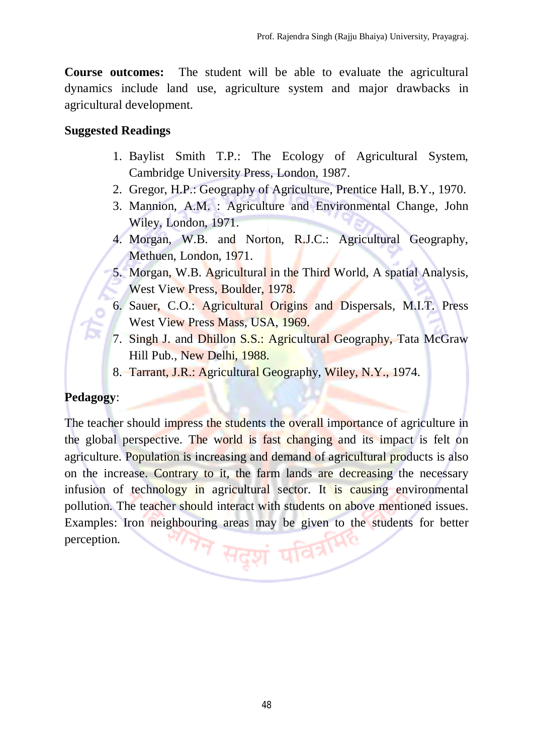**Course outcomes:** The student will be able to evaluate the agricultural dynamics include land use, agriculture system and major drawbacks in agricultural development.

#### **Suggested Readings**

- 1. Baylist Smith T.P.: The Ecology of Agricultural System, Cambridge University Press, London, 1987.
- 2. Gregor, H.P.: Geography of Agriculture, Prentice Hall, B.Y., 1970.
- 3. Mannion, A.M. : Agriculture and Environmental Change, John Wiley, London, 1971.
- 4. Morgan, W.B. and Norton, R.J.C.: Agricultural Geography, Methuen, London, 1971.
- 5. Morgan, W.B. Agricultural in the Third World, A spatial Analysis, West View Press, Boulder, 1978.
- 6. Sauer, C.O.: Agricultural Origins and Dispersals, M.I.T. Press West View Press Mass, USA, 1969.
- 7. Singh J. and Dhillon S.S.: Agricultural Geography, Tata McGraw Hill Pub., New Delhi, 1988.
- 8. Tarrant, J.R.: Agricultural Geography, Wiley, N.Y., 1974.

### **Pedagogy**:

The teacher should impress the students the overall importance of agriculture in the global perspective. The world is fast changing and its impact is felt on agriculture. Population is increasing and demand of agricultural products is also on the increase. Contrary to it, the farm lands are decreasing the necessary infusion of technology in agricultural sector. It is causing environmental pollution. The teacher should interact with students on above mentioned issues. Examples: Iron neighbouring areas may be given to the students for better <sup>त्र</sup> सदुशं पवि<sup>त्रमि</sup> perception.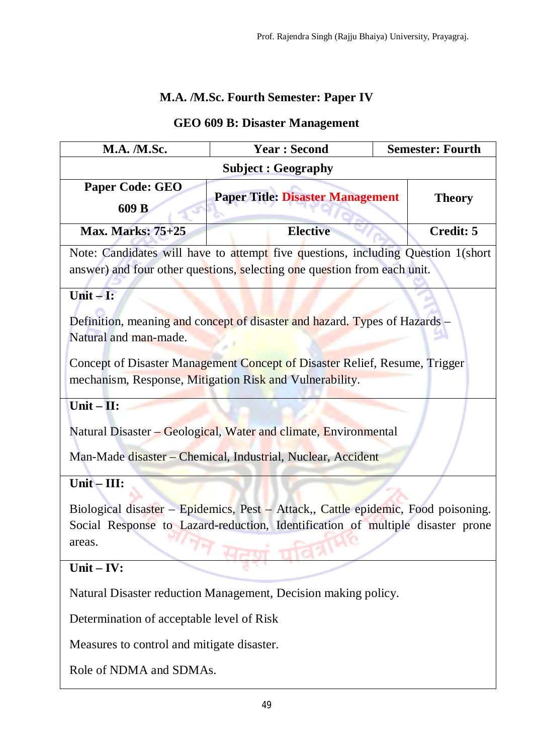# **M.A. /M.Sc. Fourth Semester: Paper IV**

# **GEO 609 B: Disaster Management**

| <b>M.A. /M.Sc.</b>                                                                                                                                                                                             | <b>Year: Second</b>                                                                                                                                          | <b>Semester: Fourth</b> |  |
|----------------------------------------------------------------------------------------------------------------------------------------------------------------------------------------------------------------|--------------------------------------------------------------------------------------------------------------------------------------------------------------|-------------------------|--|
|                                                                                                                                                                                                                | <b>Subject: Geography</b>                                                                                                                                    |                         |  |
| <b>Paper Code: GEO</b><br>609 B                                                                                                                                                                                | <b>Paper Title: Disaster Management</b>                                                                                                                      | <b>Theory</b>           |  |
| <b>Max. Marks: 75+25</b>                                                                                                                                                                                       | <b>Elective</b>                                                                                                                                              | <b>Credit: 5</b>        |  |
|                                                                                                                                                                                                                | Note: Candidates will have to attempt five questions, including Question 1(short<br>answer) and four other questions, selecting one question from each unit. |                         |  |
| Unit $-I$ :                                                                                                                                                                                                    |                                                                                                                                                              |                         |  |
| Definition, meaning and concept of disaster and hazard. Types of Hazards –<br>Natural and man-made.                                                                                                            |                                                                                                                                                              |                         |  |
| Concept of Disaster Management Concept of Disaster Relief, Resume, Trigger<br>mechanism, Response, Mitigation Risk and Vulnerability.                                                                          |                                                                                                                                                              |                         |  |
| Unit $-$ II:<br>Natural Disaster – Geological, Water and climate, Environmental<br>Man-Made disaster – Chemical, Industrial, Nuclear, Accident                                                                 |                                                                                                                                                              |                         |  |
| $Unit - III:$<br>Biological disaster – Epidemics, Pest – Attack,, Cattle epidemic, Food poisoning.<br>Social Response to Lazard-reduction, Identification of multiple disaster prone<br>areas.<br>Unit $-$ IV: |                                                                                                                                                              |                         |  |
| Natural Disaster reduction Management, Decision making policy.                                                                                                                                                 |                                                                                                                                                              |                         |  |
| Determination of acceptable level of Risk                                                                                                                                                                      |                                                                                                                                                              |                         |  |
| Measures to control and mitigate disaster.                                                                                                                                                                     |                                                                                                                                                              |                         |  |
| Role of NDMA and SDMAs.                                                                                                                                                                                        |                                                                                                                                                              |                         |  |
|                                                                                                                                                                                                                |                                                                                                                                                              |                         |  |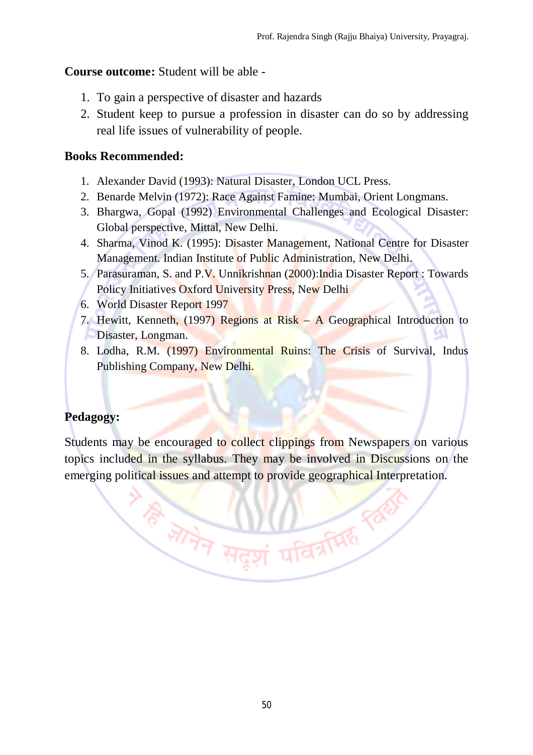### **Course outcome:** Student will be able -

- 1. To gain a perspective of disaster and hazards
- 2. Student keep to pursue a profession in disaster can do so by addressing real life issues of vulnerability of people.

### **Books Recommended:**

- 1. Alexander David (1993): Natural Disaster, London UCL Press.
- 2. Benarde Melvin (1972): Race Against Famine: Mumbai, Orient Longmans.
- 3. Bhargwa, Gopal (1992) Environmental Challenges and Ecological Disaster: Global perspective, Mittal, New Delhi.
- 4. Sharma, Vinod K. (1995): Disaster Management, National Centre for Disaster Management. Indian Institute of Public Administration, New Delhi.
- 5. Parasuraman, S. and P.V. Unnikrishnan (2000):India Disaster Report : Towards Policy Initiatives Oxford University Press, New Delhi
- 6. World Disaster Report 1997
- 7. Hewitt, Kenneth, (1997) Regions at Risk A Geographical Introduction to Disaster, Longman.
- 8. Lodha, R.M. (1997) Environmental Ruins: The Crisis of Survival, Indus Publishing Company, New Delhi.

# **Pedagogy:**

Students may be encouraged to collect clippings from Newspapers on various topics included in the syllabus. They may be involved in Discussions on the emerging political issues and attempt to provide geographical Interpretation.

 $\frac{1}{\sqrt[3]{\frac{1}{\sqrt[3]{7}}}} \frac{1}{\sqrt[3]{7}} \frac{1}{\sqrt[3]{7}} \frac{1}{\sqrt[3]{7}} \frac{1}{\sqrt[3]{7}}$